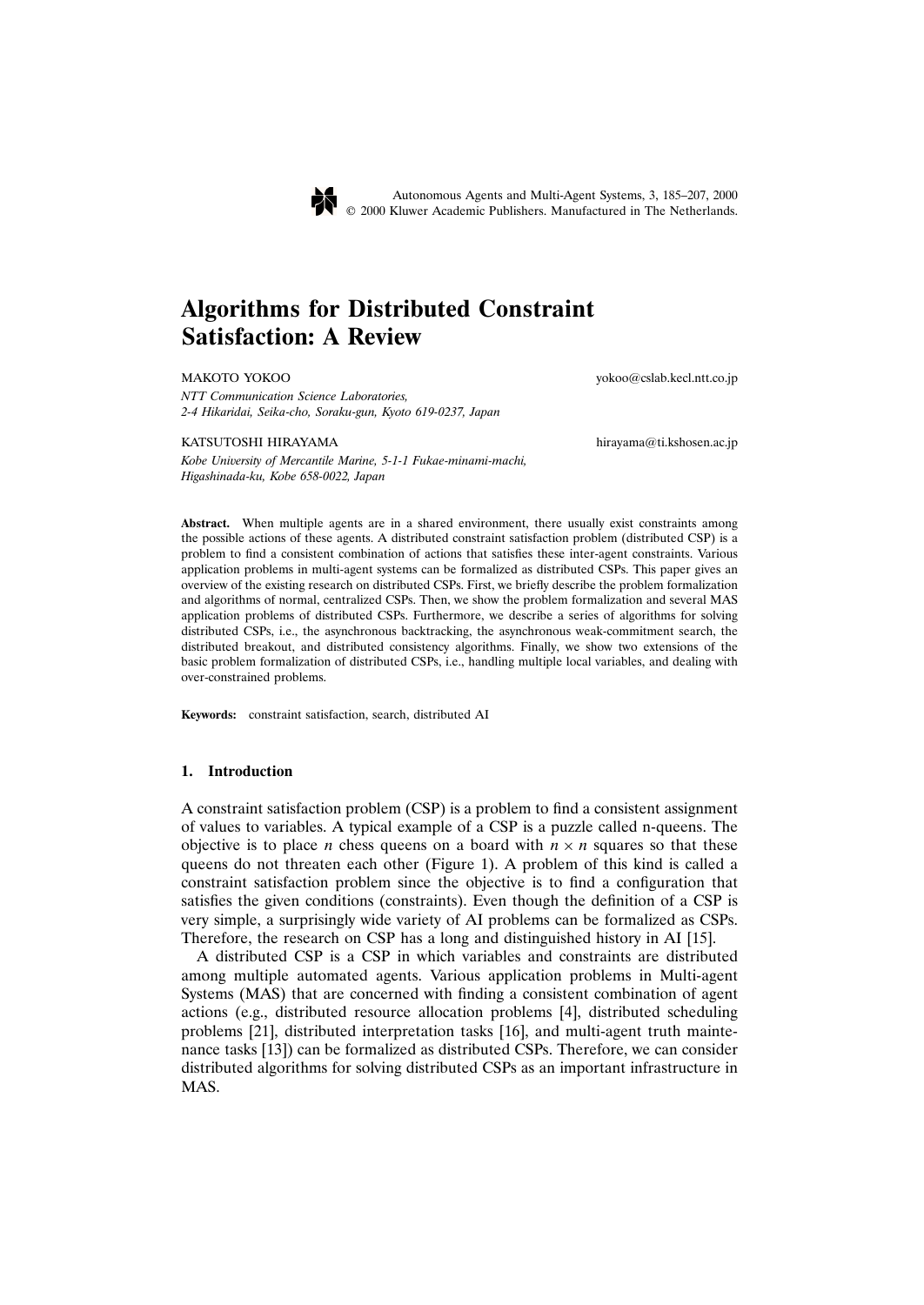# Algorithms for Distributed Constraint Satisfaction: A Review

MAKOTO YOKOO yokoo@cslab.kecl.ntt.co.jp

NTT Communication Science Laboratories, 2-4 Hikaridai, Seika-cho, Soraku-gun, Kyoto 619-0237, Japan

#### KATSUTOSHI HIRAYAMA hirayama@ti.kshosen.ac.jp

Kobe University of Mercantile Marine, 5-1-1 Fukae-minami-machi, Higashinada-ku, Kobe 658-0022, Japan

Abstract. When multiple agents are in a shared environment, there usually exist constraints among the possible actions of these agents. A distributed constraint satisfaction problem (distributed CSP) is a problem to find a consistent combination of actions that satisfies these inter-agent constraints. Various application problems in multi-agent systems can be formalized as distributed CSPs. This paper gives an overview of the existing research on distributed CSPs. First, we briefly describe the problem formalization and algorithms of normal, centralized CSPs. Then, we show the problem formalization and several MAS application problems of distributed CSPs. Furthermore, we describe a series of algorithms for solving distributed CSPs, i.e., the asynchronous backtracking, the asynchronous weak-commitment search, the distributed breakout, and distributed consistency algorithms. Finally, we show two extensions of the basic problem formalization of distributed CSPs, i.e., handling multiple local variables, and dealing with over-constrained problems.

Keywords: constraint satisfaction, search, distributed AI

# 1. Introduction

A constraint satisfaction problem (CSP) is a problem to find a consistent assignment of values to variables. A typical example of a CSP is a puzzle called n-queens. The objective is to place *n* chess queens on a board with  $n \times n$  squares so that these queens do not threaten each other (Figure 1). A problem of this kind is called a constraint satisfaction problem since the objective is to find a configuration that satisfies the given conditions (constraints). Even though the definition of a CSP is very simple, a surprisingly wide variety of AI problems can be formalized as CSPs. Therefore, the research on CSP has a long and distinguished history in AI [15].

A distributed CSP is a CSP in which variables and constraints are distributed among multiple automated agents. Various application problems in Multi-agent Systems (MAS) that are concerned with finding a consistent combination of agent actions (e.g., distributed resource allocation problems [4], distributed scheduling problems [21], distributed interpretation tasks [16], and multi-agent truth maintenance tasks [13]) can be formalized as distributed CSPs. Therefore, we can consider distributed algorithms for solving distributed CSPs as an important infrastructure in **MAS**.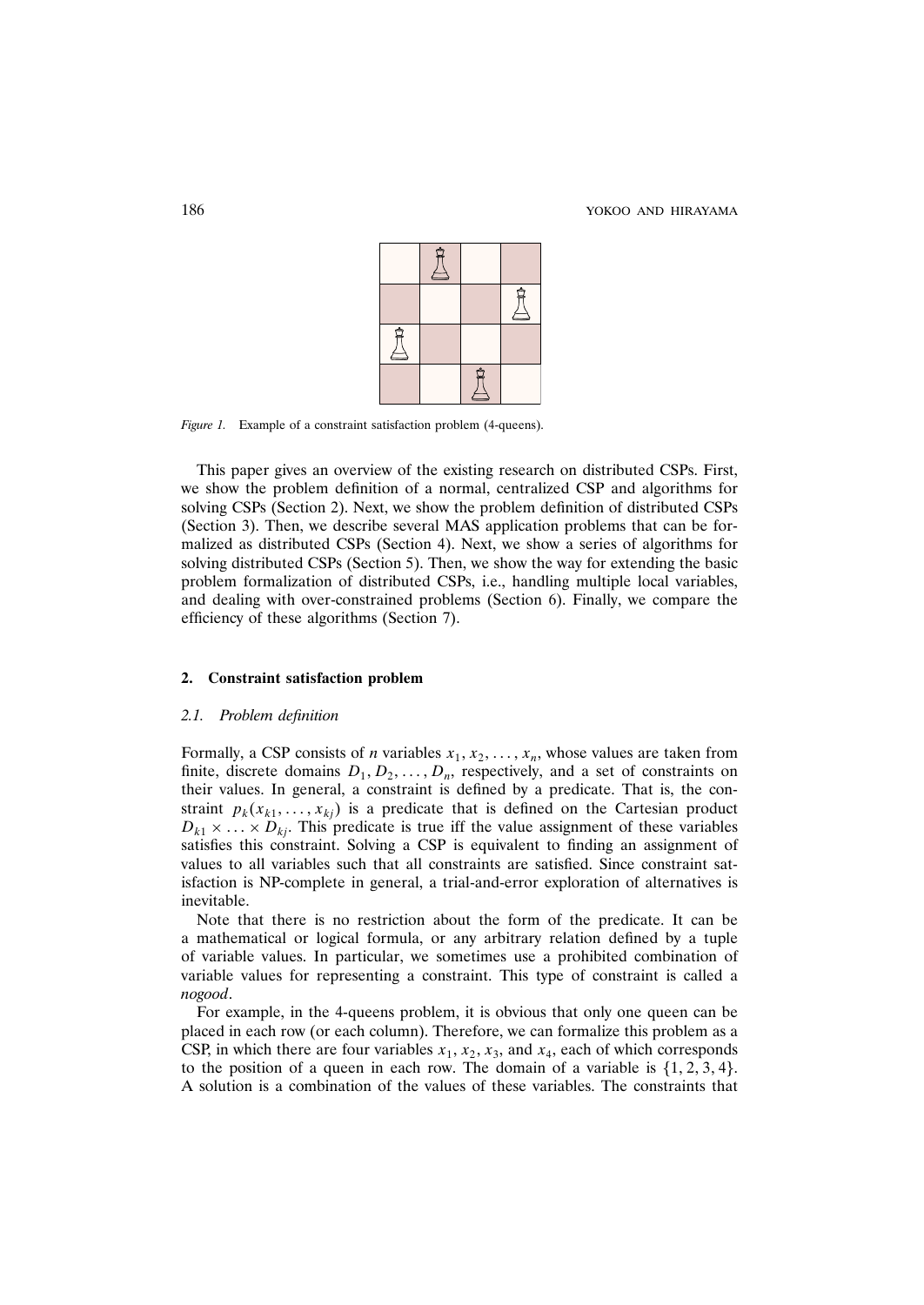

Figure 1. Example of a constraint satisfaction problem (4-queens).

This paper gives an overview of the existing research on distributed CSPs. First, we show the problem definition of a normal, centralized CSP and algorithms for solving CSPs (Section 2). Next, we show the problem definition of distributed CSPs (Section 3). Then, we describe several MAS application problems that can be formalized as distributed CSPs (Section 4). Next, we show a series of algorithms for solving distributed CSPs (Section 5). Then, we show the way for extending the basic problem formalization of distributed CSPs, i.e., handling multiple local variables, and dealing with over-constrained problems (Section 6). Finally, we compare the efficiency of these algorithms (Section 7).

#### 2. Constraint satisfaction problem

#### 2.1. Problem definition

Formally, a CSP consists of *n* variables  $x_1, x_2, \ldots, x_n$ , whose values are taken from finite, discrete domains  $D_1, D_2, \ldots, D_n$ , respectively, and a set of constraints on their values. In general, a constraint is defined by a predicate. That is, the constraint  $p_k(x_{k1},...,x_{ki})$  is a predicate that is defined on the Cartesian product  $D_{k1} \times \ldots \times D_{kj}$ . This predicate is true iff the value assignment of these variables satisfies this constraint. Solving a CSP is equivalent to finding an assignment of values to all variables such that all constraints are satisfied. Since constraint satisfaction is NP-complete in general, a trial-and-error exploration of alternatives is inevitable.

Note that there is no restriction about the form of the predicate. It can be a mathematical or logical formula, or any arbitrary relation defined by a tuple of variable values. In particular, we sometimes use a prohibited combination of variable values for representing a constraint. This type of constraint is called a nogood.

For example, in the 4-queens problem, it is obvious that only one queen can be placed in each row (or each column). Therefore, we can formalize this problem as a CSP, in which there are four variables  $x_1, x_2, x_3$ , and  $x_4$ , each of which corresponds to the position of a queen in each row. The domain of a variable is  $\{1, 2, 3, 4\}$ . A solution is a combination of the values of these variables. The constraints that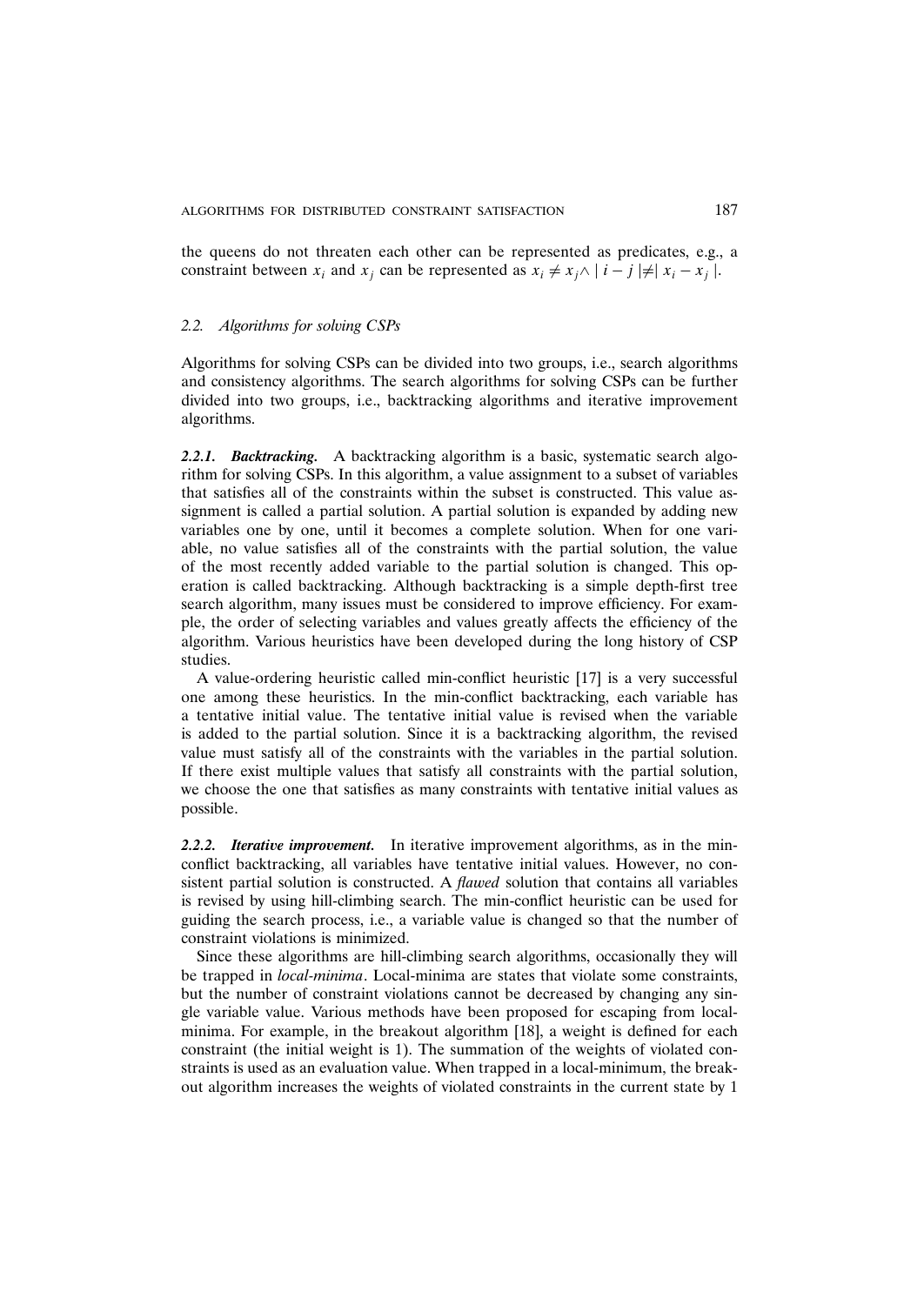the queens do not threaten each other can be represented as predicates, e.g., a constraint between  $x_i$  and  $x_j$  can be represented as  $x_i \neq x_j \wedge |i - j| \neq |x_i - x_j|$ .

## 2.2. Algorithms for solving CSPs

Algorithms for solving CSPs can be divided into two groups, i.e., search algorithms and consistency algorithms. The search algorithms for solving CSPs can be further divided into two groups, i.e., backtracking algorithms and iterative improvement algorithms.

2.2.1. Backtracking. A backtracking algorithm is a basic, systematic search algorithm for solving CSPs. In this algorithm, a value assignment to a subset of variables that satisfies all of the constraints within the subset is constructed. This value assignment is called a partial solution. A partial solution is expanded by adding new variables one by one, until it becomes a complete solution. When for one variable, no value satisfies all of the constraints with the partial solution, the value of the most recently added variable to the partial solution is changed. This operation is called backtracking. Although backtracking is a simple depth-first tree search algorithm, many issues must be considered to improve efficiency. For example, the order of selecting variables and values greatly affects the efficiency of the algorithm. Various heuristics have been developed during the long history of CSP studies.

A value-ordering heuristic called min-conflict heuristic [17] is a very successful one among these heuristics. In the min-conflict backtracking, each variable has a tentative initial value. The tentative initial value is revised when the variable is added to the partial solution. Since it is a backtracking algorithm, the revised value must satisfy all of the constraints with the variables in the partial solution. If there exist multiple values that satisfy all constraints with the partial solution, we choose the one that satisfies as many constraints with tentative initial values as possible.

2.2.2. Iterative improvement. In iterative improvement algorithms, as in the minconflict backtracking, all variables have tentative initial values. However, no consistent partial solution is constructed. A *flawed* solution that contains all variables is revised by using hill-climbing search. The min-conflict heuristic can be used for guiding the search process, i.e., a variable value is changed so that the number of constraint violations is minimized.

Since these algorithms are hill-climbing search algorithms, occasionally they will be trapped in *local-minima*. Local-minima are states that violate some constraints, but the number of constraint violations cannot be decreased by changing any single variable value. Various methods have been proposed for escaping from localminima. For example, in the breakout algorithm [18], a weight is defined for each constraint (the initial weight is 1). The summation of the weights of violated constraints is used as an evaluation value. When trapped in a local-minimum, the breakout algorithm increases the weights of violated constraints in the current state by 1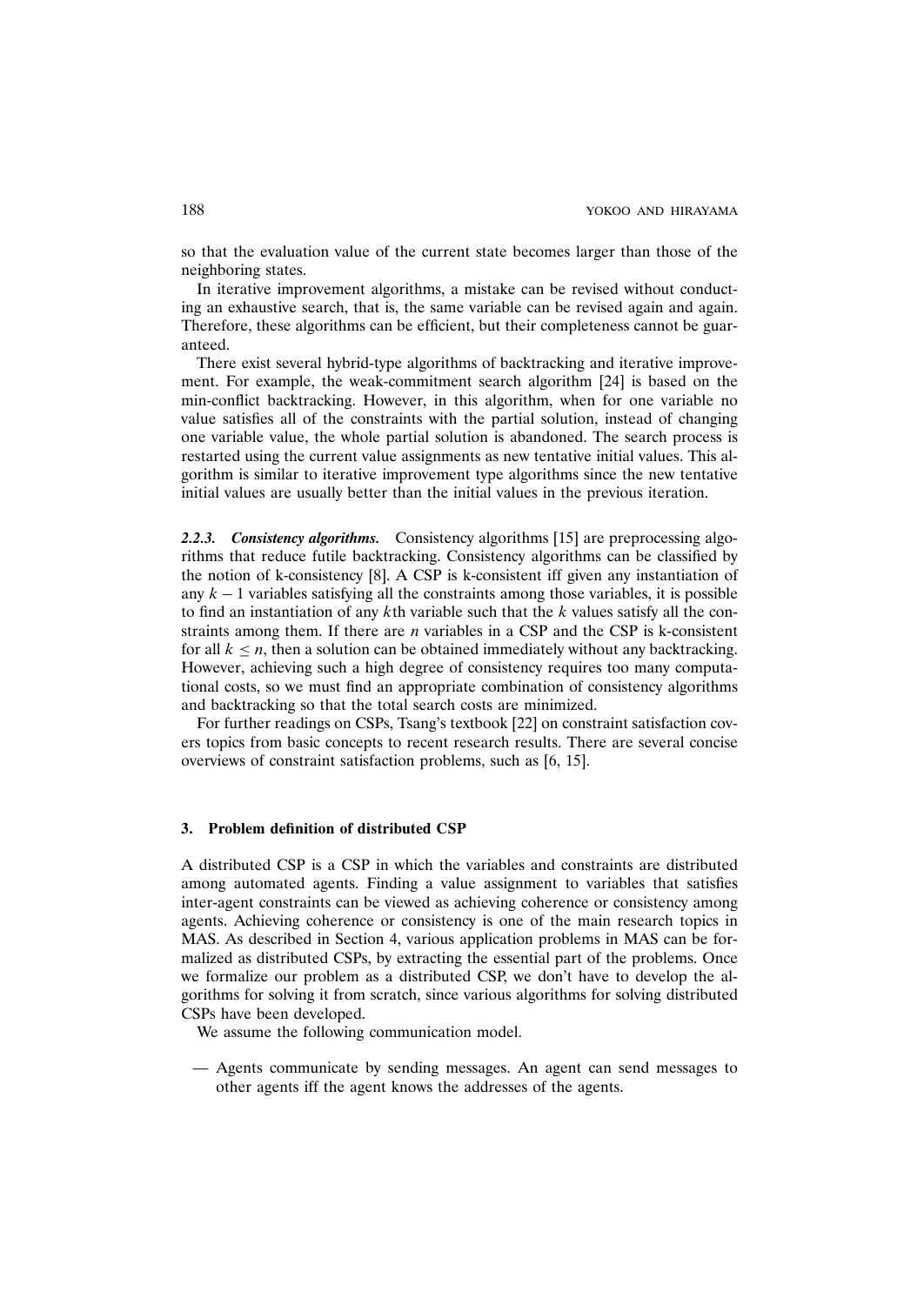so that the evaluation value of the current state becomes larger than those of the neighboring states.

In iterative improvement algorithms, a mistake can be revised without conducting an exhaustive search, that is, the same variable can be revised again and again. Therefore, these algorithms can be efficient, but their completeness cannot be guaranteed.

There exist several hybrid-type algorithms of backtracking and iterative improvement. For example, the weak-commitment search algorithm [24] is based on the min-conflict backtracking. However, in this algorithm, when for one variable no value satisfies all of the constraints with the partial solution, instead of changing one variable value, the whole partial solution is abandoned. The search process is restarted using the current value assignments as new tentative initial values. This algorithm is similar to iterative improvement type algorithms since the new tentative initial values are usually better than the initial values in the previous iteration.

2.2.3. Consistency algorithms. Consistency algorithms [15] are preprocessing algorithms that reduce futile backtracking. Consistency algorithms can be classified by the notion of k-consistency [8]. A CSP is k-consistent iff given any instantiation of any  $k - 1$  variables satisfying all the constraints among those variables, it is possible to find an instantiation of any kth variable such that the  $k$  values satisfy all the constraints among them. If there are  $n$  variables in a CSP and the CSP is k-consistent for all  $k \leq n$ , then a solution can be obtained immediately without any backtracking. However, achieving such a high degree of consistency requires too many computational costs, so we must find an appropriate combination of consistency algorithms and backtracking so that the total search costs are minimized.

For further readings on CSPs, Tsang's textbook [22] on constraint satisfaction covers topics from basic concepts to recent research results. There are several concise overviews of constraint satisfaction problems, such as [6, 15].

#### 3. Problem definition of distributed CSP

A distributed CSP is a CSP in which the variables and constraints are distributed among automated agents. Finding a value assignment to variables that satisfies inter-agent constraints can be viewed as achieving coherence or consistency among agents. Achieving coherence or consistency is one of the main research topics in MAS. As described in Section 4, various application problems in MAS can be formalized as distributed CSPs, by extracting the essential part of the problems. Once we formalize our problem as a distributed CSP, we don't have to develop the algorithms for solving it from scratch, since various algorithms for solving distributed CSPs have been developed.

We assume the following communication model.

— Agents communicate by sending messages. An agent can send messages to other agents iff the agent knows the addresses of the agents.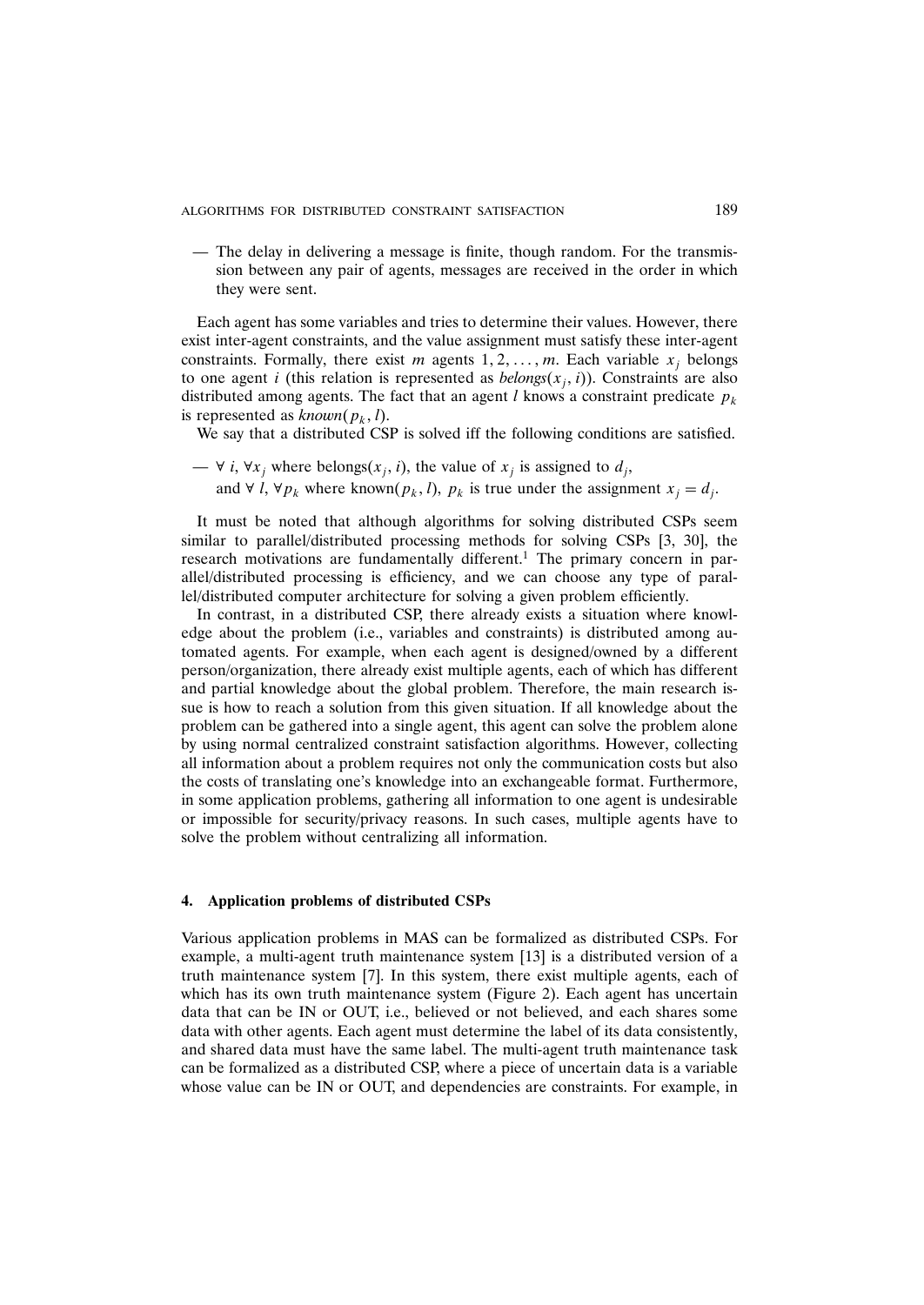— The delay in delivering a message is finite, though random. For the transmission between any pair of agents, messages are received in the order in which they were sent.

Each agent has some variables and tries to determine their values. However, there exist inter-agent constraints, and the value assignment must satisfy these inter-agent constraints. Formally, there exist m agents  $1, 2, \ldots, m$ . Each variable  $x_i$  belongs to one agent *i* (this relation is represented as *belongs* $(x_i, i)$ ). Constraints are also distributed among agents. The fact that an agent l knows a constraint predicate  $p_k$ is represented as  $known(p_k, l)$ .

We say that a distributed CSP is solved iff the following conditions are satisfied.

—  $\forall i, \forall x_j$  where belongs $(x_j, i)$ , the value of  $x_j$  is assigned to  $d_j$ , and  $\forall$  l,  $\forall p_k$  where known( $p_k$ , l),  $p_k$  is true under the assignment  $x_i = d_i$ .

It must be noted that although algorithms for solving distributed CSPs seem similar to parallel/distributed processing methods for solving CSPs [3, 30], the research motivations are fundamentally different.<sup>1</sup> The primary concern in parallel/distributed processing is efficiency, and we can choose any type of parallel/distributed computer architecture for solving a given problem efficiently.

In contrast, in a distributed CSP, there already exists a situation where knowledge about the problem (i.e., variables and constraints) is distributed among automated agents. For example, when each agent is designed/owned by a different person/organization, there already exist multiple agents, each of which has different and partial knowledge about the global problem. Therefore, the main research issue is how to reach a solution from this given situation. If all knowledge about the problem can be gathered into a single agent, this agent can solve the problem alone by using normal centralized constraint satisfaction algorithms. However, collecting all information about a problem requires not only the communication costs but also the costs of translating one's knowledge into an exchangeable format. Furthermore, in some application problems, gathering all information to one agent is undesirable or impossible for security/privacy reasons. In such cases, multiple agents have to solve the problem without centralizing all information.

#### 4. Application problems of distributed CSPs

Various application problems in MAS can be formalized as distributed CSPs. For example, a multi-agent truth maintenance system [13] is a distributed version of a truth maintenance system [7]. In this system, there exist multiple agents, each of which has its own truth maintenance system (Figure 2). Each agent has uncertain data that can be IN or OUT, i.e., believed or not believed, and each shares some data with other agents. Each agent must determine the label of its data consistently, and shared data must have the same label. The multi-agent truth maintenance task can be formalized as a distributed CSP, where a piece of uncertain data is a variable whose value can be IN or OUT, and dependencies are constraints. For example, in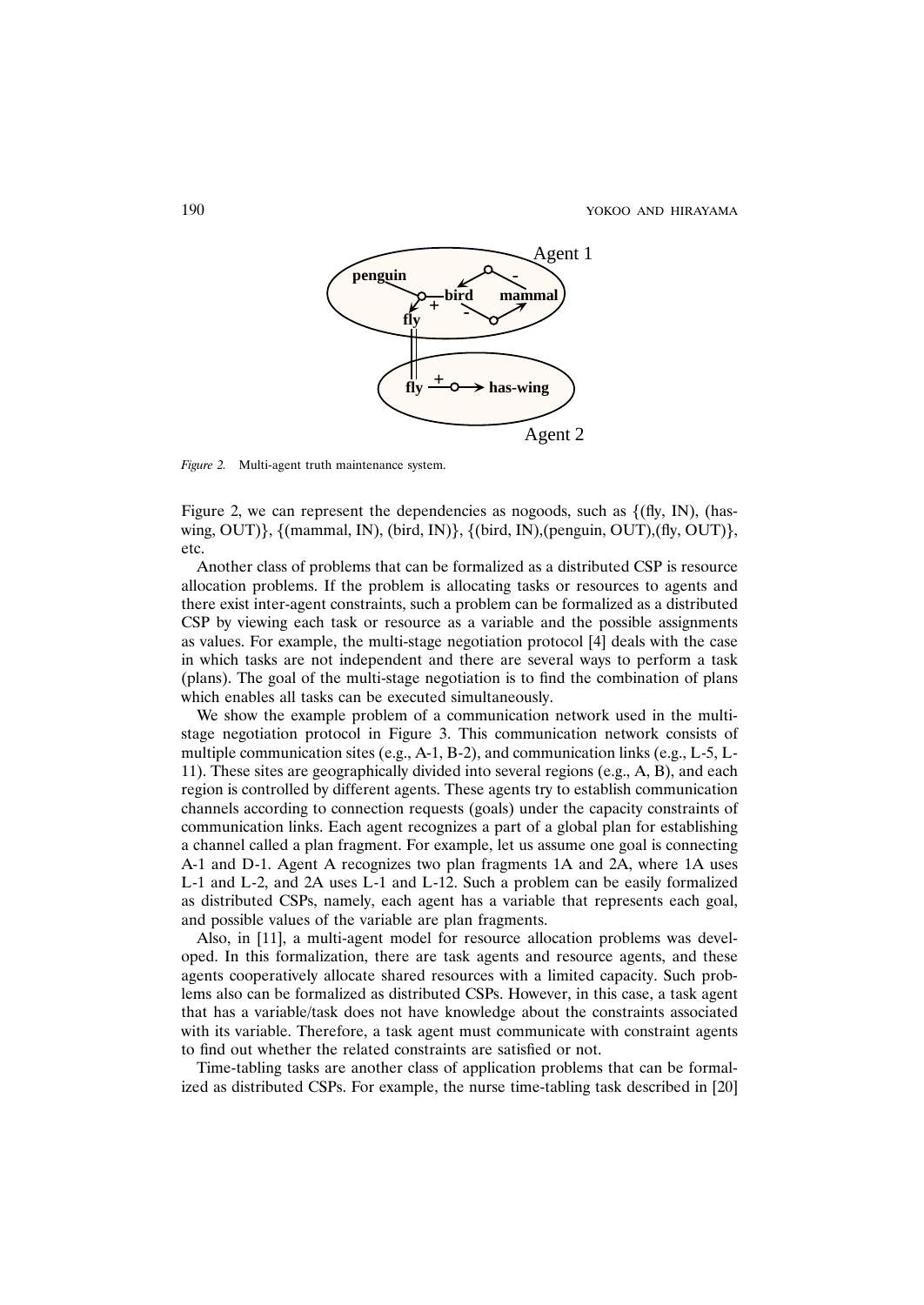

Figure 2. Multi-agent truth maintenance system.

Figure 2, we can represent the dependencies as no goods, such as  $\{(\text{fly, IN}), (\text{has-})\}$ wing, OUT)}, {(mammal, IN), (bird, IN)}, {(bird, IN),(penguin, OUT),(fly, OUT)}, etc.

Another class of problems that can be formalized as a distributed CSP is resource allocation problems. If the problem is allocating tasks or resources to agents and there exist inter-agent constraints, such a problem can be formalized as a distributed CSP by viewing each task or resource as a variable and the possible assignments as values. For example, the multi-stage negotiation protocol [4] deals with the case in which tasks are not independent and there are several ways to perform a task (plans). The goal of the multi-stage negotiation is to find the combination of plans which enables all tasks can be executed simultaneously.

We show the example problem of a communication network used in the multistage negotiation protocol in Figure 3. This communication network consists of multiple communication sites (e.g., A-1, B-2), and communication links (e.g., L-5, L-11). These sites are geographically divided into several regions (e.g., A, B), and each region is controlled by different agents. These agents try to establish communication channels according to connection requests (goals) under the capacity constraints of communication links. Each agent recognizes a part of a global plan for establishing a channel called a plan fragment. For example, let us assume one goal is connecting A-1 and D-1. Agent A recognizes two plan fragments 1A and 2A, where 1A uses L-1 and L-2, and 2A uses L-1 and L-12. Such a problem can be easily formalized as distributed CSPs, namely, each agent has a variable that represents each goal, and possible values of the variable are plan fragments.

Also, in [11], a multi-agent model for resource allocation problems was developed. In this formalization, there are task agents and resource agents, and these agents cooperatively allocate shared resources with a limited capacity. Such problems also can be formalized as distributed CSPs. However, in this case, a task agent that has a variable/task does not have knowledge about the constraints associated with its variable. Therefore, a task agent must communicate with constraint agents to find out whether the related constraints are satisfied or not.

Time-tabling tasks are another class of application problems that can be formalized as distributed CSPs. For example, the nurse time-tabling task described in [20]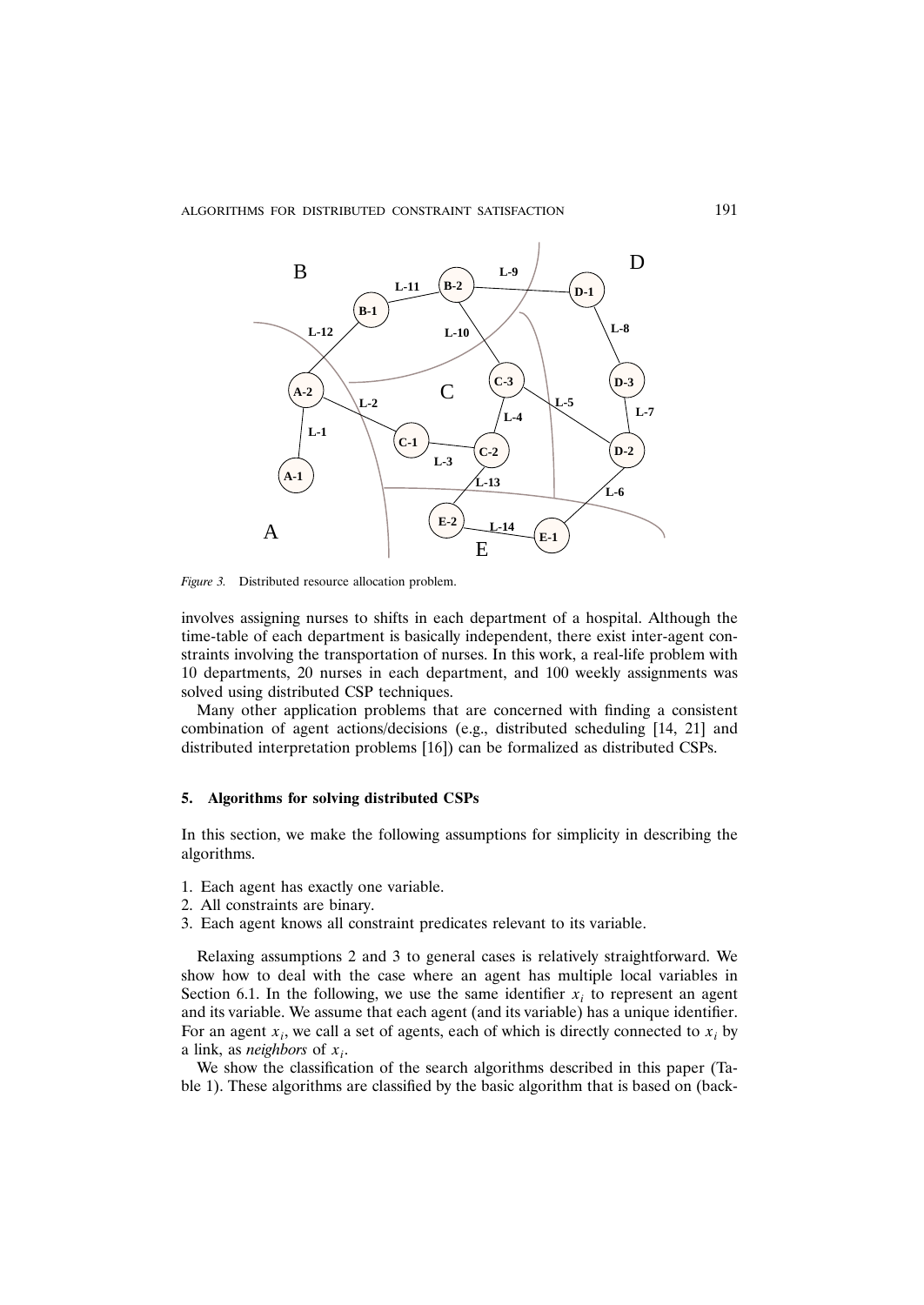

Figure 3. Distributed resource allocation problem.

involves assigning nurses to shifts in each department of a hospital. Although the time-table of each department is basically independent, there exist inter-agent constraints involving the transportation of nurses. In this work, a real-life problem with 10 departments, 20 nurses in each department, and 100 weekly assignments was solved using distributed CSP techniques.

Many other application problems that are concerned with finding a consistent combination of agent actions/decisions (e.g., distributed scheduling [14, 21] and distributed interpretation problems [16]) can be formalized as distributed CSPs.

## 5. Algorithms for solving distributed CSPs

In this section, we make the following assumptions for simplicity in describing the algorithms.

- 1. Each agent has exactly one variable.
- 2. All constraints are binary.
- 3. Each agent knows all constraint predicates relevant to its variable.

Relaxing assumptions 2 and 3 to general cases is relatively straightforward. We show how to deal with the case where an agent has multiple local variables in Section 6.1. In the following, we use the same identifier  $x_i$  to represent an agent and its variable. We assume that each agent (and its variable) has a unique identifier. For an agent  $x_i$ , we call a set of agents, each of which is directly connected to  $x_i$  by a link, as *neighbors* of  $x_i$ .

We show the classification of the search algorithms described in this paper (Table 1). These algorithms are classified by the basic algorithm that is based on (back-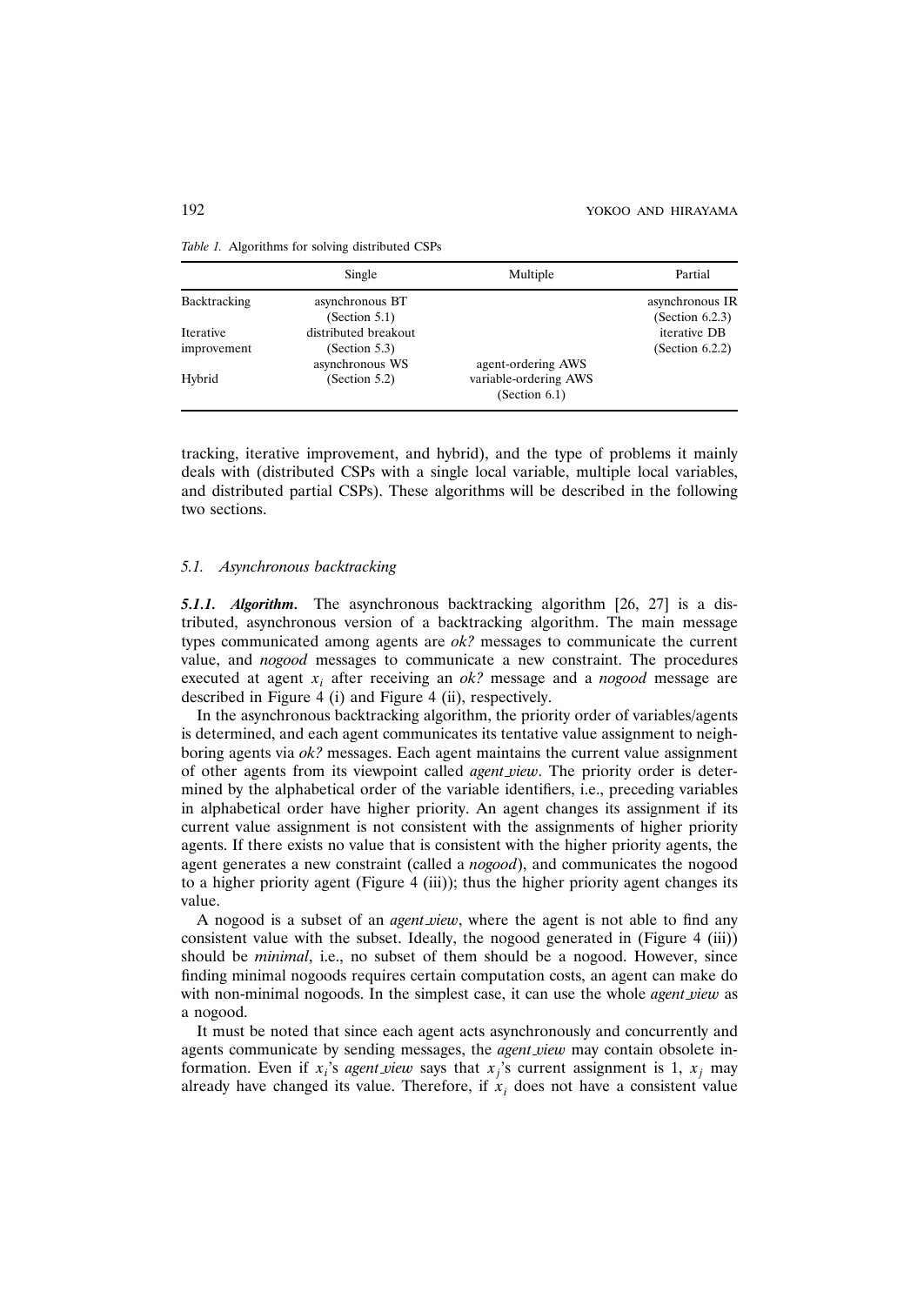|                  | Single               | Multiple                                  | Partial            |
|------------------|----------------------|-------------------------------------------|--------------------|
| Backtracking     | asynchronous BT      |                                           | asynchronous IR    |
|                  | (Section $5.1$ )     |                                           | (Section $6.2.3$ ) |
| <b>Iterative</b> | distributed breakout |                                           | iterative DB       |
| improvement      | (Section $5.3$ )     |                                           | (Section $6.2.2$ ) |
|                  | asynchronous WS      | agent-ordering AWS                        |                    |
| Hybrid           | (Section $5.2$ )     | variable-ordering AWS<br>(Section $6.1$ ) |                    |

Table 1. Algorithms for solving distributed CSPs

tracking, iterative improvement, and hybrid), and the type of problems it mainly deals with (distributed CSPs with a single local variable, multiple local variables, and distributed partial CSPs). These algorithms will be described in the following two sections.

## 5.1. Asynchronous backtracking

5.1.1. Algorithm. The asynchronous backtracking algorithm [26, 27] is a distributed, asynchronous version of a backtracking algorithm. The main message types communicated among agents are  $ok$ ? messages to communicate the current value, and nogood messages to communicate a new constraint. The procedures executed at agent  $x_i$  after receiving an  $ok$ ? message and a *nogood* message are described in Figure 4 (i) and Figure 4 (ii), respectively.

In the asynchronous backtracking algorithm, the priority order of variables/agents is determined, and each agent communicates its tentative value assignment to neighboring agents via  $ok$ ? messages. Each agent maintains the current value assignment of other agents from its viewpoint called *agent view*. The priority order is determined by the alphabetical order of the variable identifiers, i.e., preceding variables in alphabetical order have higher priority. An agent changes its assignment if its current value assignment is not consistent with the assignments of higher priority agents. If there exists no value that is consistent with the higher priority agents, the agent generates a new constraint (called a *nogood*), and communicates the nogood to a higher priority agent (Figure 4 (iii)); thus the higher priority agent changes its value.

A nogood is a subset of an *agent view*, where the agent is not able to find any consistent value with the subset. Ideally, the nogood generated in (Figure 4 (iii)) should be *minimal*, i.e., no subset of them should be a nogood. However, since finding minimal nogoods requires certain computation costs, an agent can make do with non-minimal nogoods. In the simplest case, it can use the whole *agent view* as a nogood.

It must be noted that since each agent acts asynchronously and concurrently and agents communicate by sending messages, the *agent view* may contain obsolete information. Even if  $x_i$ 's *agent view* says that  $x_i$ 's current assignment is 1,  $x_i$  may already have changed its value. Therefore, if  $x_i$  does not have a consistent value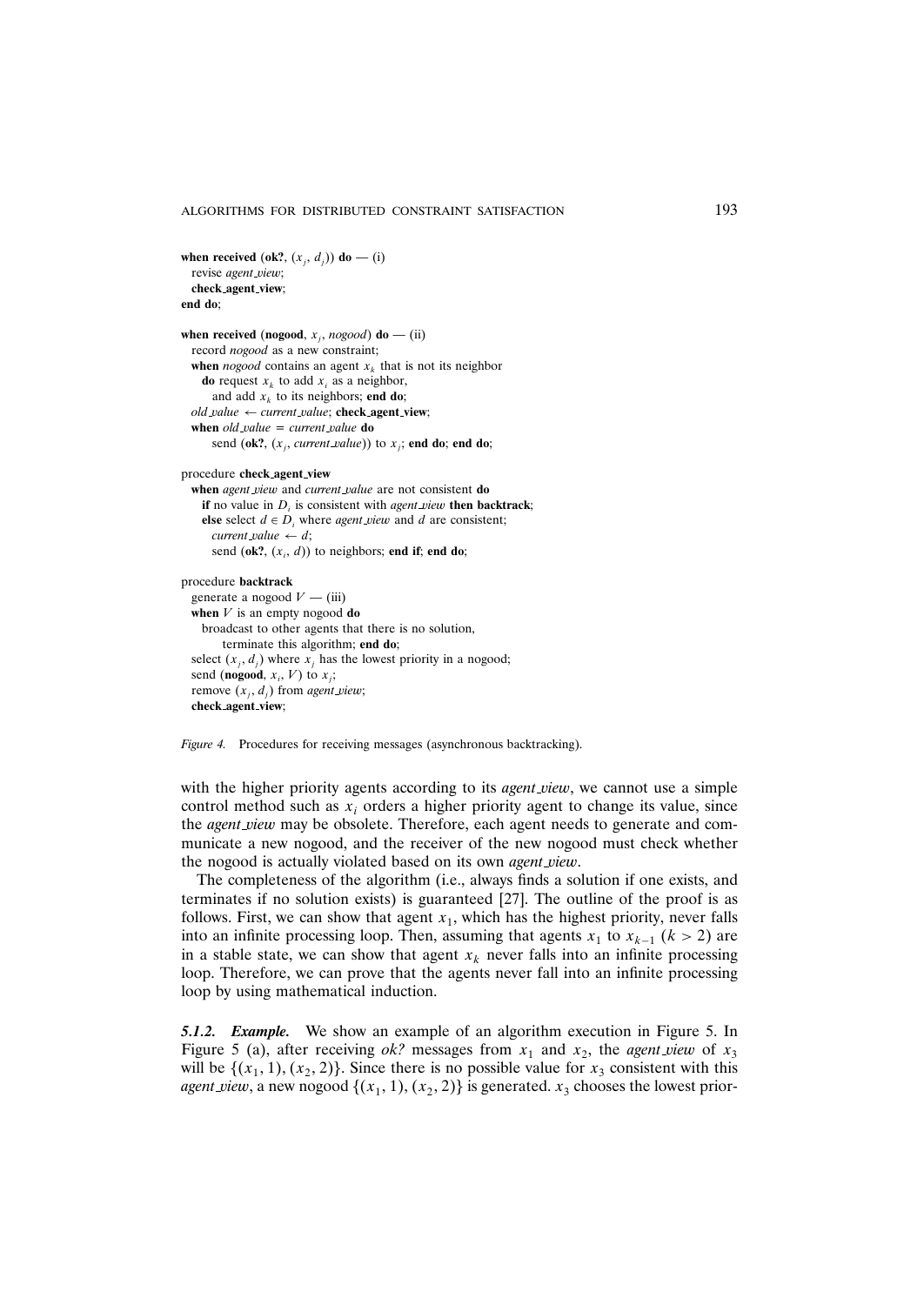```
when received (ok?, (x_i, d_i)) do — (i)
  revise agent view;
  check_agent_view;
end do;
when received (nogood, x_i, nogood) do — (ii)
  record nogood as a new constraint;
  when nogood contains an agent x_k that is not its neighbor
    do request x_k to add x_i as a neighbor,
      and add x_k to its neighbors; end do;
  old\_value \leftarrow current\_value; check_agent_view;
  when old\_value = current\_value do
      send (ok?, (x_i, current_value)) to x_i; end do; end do;
procedure check agent view
  when agent view and current value are not consistent do
    if no value in D_i is consistent with agent view then backtrack;
    else select d \in D_i, where agent view and d are consistent;
     current\_value \leftarrow d;send (ok?, (x_i, d)) to neighbors; end if; end do;
procedure backtrack
  generate a nogood V - (iii)when V is an empty nogood do
    broadcast to other agents that there is no solution,
       terminate this algorithm; end do;
  select (x_i, d_i) where x_i has the lowest priority in a nogood;
  send (nogood, x_i, V) to x_i;
  remove (x_i, d_i) from agent view;
  check_agent_view;
```


with the higher priority agents according to its *agent view*, we cannot use a simple control method such as  $x_i$  orders a higher priority agent to change its value, since the *agent view* may be obsolete. Therefore, each agent needs to generate and communicate a new nogood, and the receiver of the new nogood must check whether the nogood is actually violated based on its own *agent view*.

The completeness of the algorithm (i.e., always finds a solution if one exists, and terminates if no solution exists) is guaranteed [27]. The outline of the proof is as follows. First, we can show that agent  $x_1$ , which has the highest priority, never falls into an infinite processing loop. Then, assuming that agents  $x_1$  to  $x_{k-1}$  ( $k > 2$ ) are in a stable state, we can show that agent  $x_k$  never falls into an infinite processing loop. Therefore, we can prove that the agents never fall into an infinite processing loop by using mathematical induction.

5.1.2. Example. We show an example of an algorithm execution in Figure 5. In Figure 5 (a), after receiving ok? messages from  $x_1$  and  $x_2$ , the *agent view* of  $x_3$ will be  $\{(x_1, 1), (x_2, 2)\}\)$ . Since there is no possible value for  $x_3$  consistent with this agent view, a new nogood  $\{(x_1, 1), (x_2, 2)\}\$ is generated.  $x_3$  chooses the lowest prior-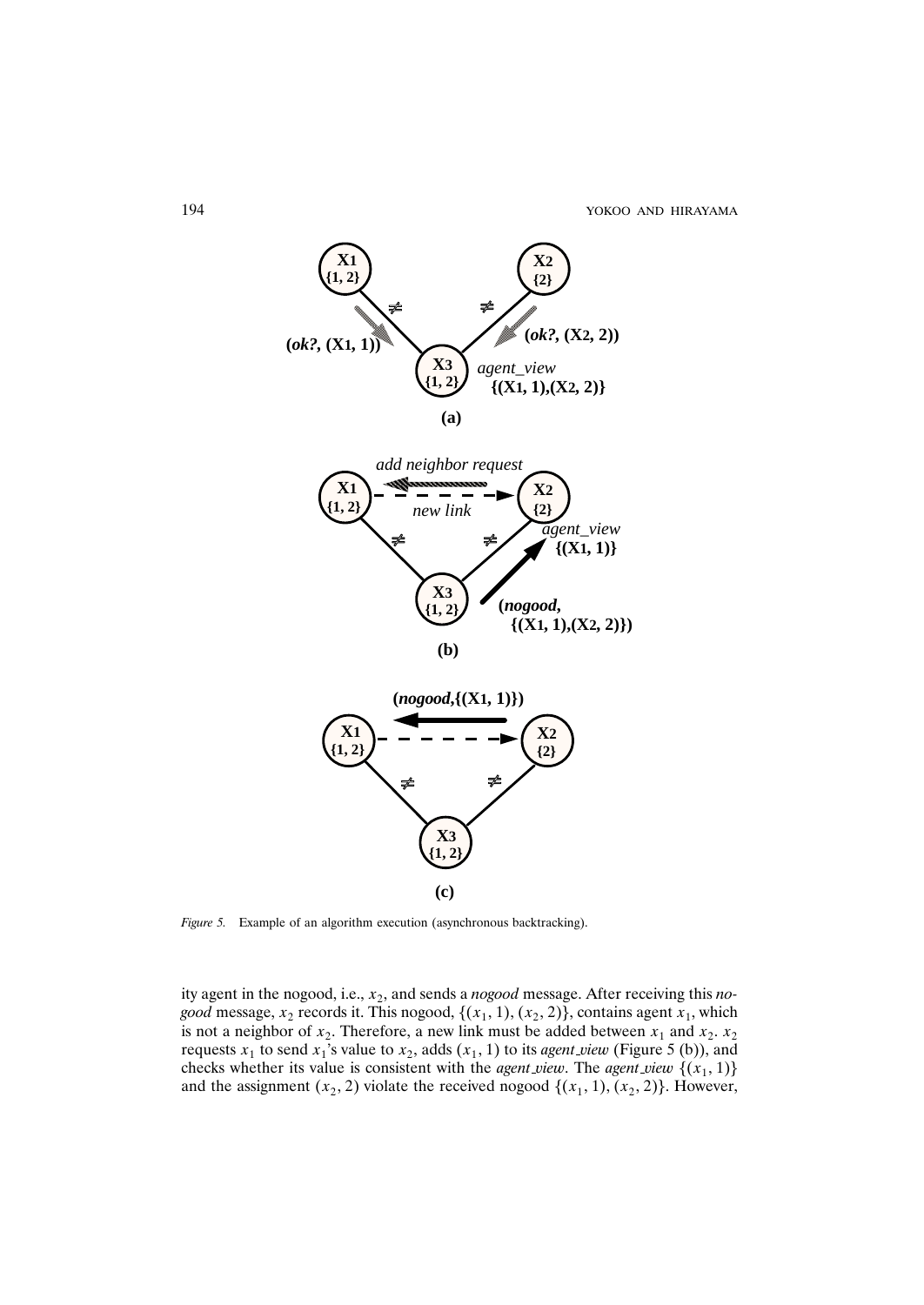

Figure 5. Example of an algorithm execution (asynchronous backtracking).

ity agent in the nogood, i.e.,  $x_2$ , and sends a *nogood* message. After receiving this *nogood* message,  $x_2$  records it. This nogood,  $\{(x_1, 1), (x_2, 2)\}$ , contains agent  $x_1$ , which is not a neighbor of  $x_2$ . Therefore, a new link must be added between  $x_1$  and  $x_2$ .  $x_2$ requests  $x_1$  to send  $x_1$ 's value to  $x_2$ , adds  $(x_1, 1)$  to its *agent view* (Figure 5 (b)), and checks whether its value is consistent with the *agent view*. The *agent view*  $\{(x_1, 1)\}$ and the assignment  $(x_2, 2)$  violate the received nogood  $\{(x_1, 1), (x_2, 2)\}\$ . However,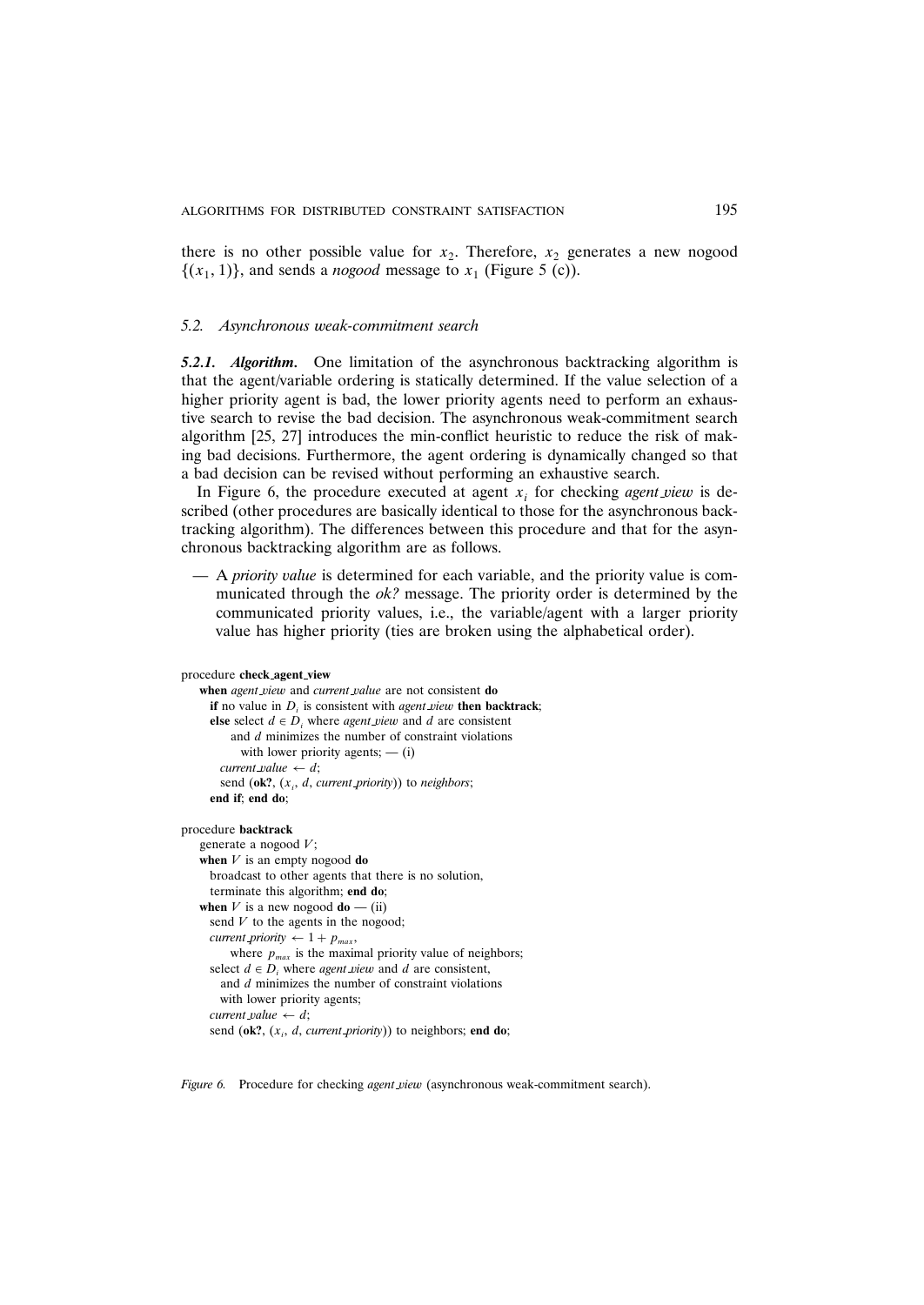there is no other possible value for  $x_2$ . Therefore,  $x_2$  generates a new nogood  $\{(x_1, 1)\}\$ , and sends a *nogood* message to  $x_1$  (Figure 5 (c)).

## 5.2. Asynchronous weak-commitment search

5.2.1. Algorithm. One limitation of the asynchronous backtracking algorithm is that the agent/variable ordering is statically determined. If the value selection of a higher priority agent is bad, the lower priority agents need to perform an exhaustive search to revise the bad decision. The asynchronous weak-commitment search algorithm [25, 27] introduces the min-conflict heuristic to reduce the risk of making bad decisions. Furthermore, the agent ordering is dynamically changed so that a bad decision can be revised without performing an exhaustive search.

In Figure 6, the procedure executed at agent  $x_i$  for checking *agent view* is described (other procedures are basically identical to those for the asynchronous backtracking algorithm). The differences between this procedure and that for the asynchronous backtracking algorithm are as follows.

— A priority value is determined for each variable, and the priority value is communicated through the *ok?* message. The priority order is determined by the communicated priority values, i.e., the variable/agent with a larger priority value has higher priority (ties are broken using the alphabetical order).

```
procedure check agent view
```

```
when agent view and current value are not consistent do
  if no value in D_i is consistent with agent view then backtrack;
  else select d \in D_i, where agent view and d are consistent
      and d minimizes the number of constraint violations
        with lower priority agents; - (i)
   current value \leftarrow d;
   send (ok?, (x_i, d, current\_priority)) to neighbors;
 end if; end do;
```
procedure backtrack

```
generate a nogood V;
when V is an empty nogood do
 broadcast to other agents that there is no solution,
  terminate this algorithm; end do;
when V is a new nogood \mathbf{do} — (ii)
 send V to the agents in the nogood;
 current priority \leftarrow 1 + p_{max},
      where p_{max} is the maximal priority value of neighbors;
 select d \in D_i, where agent view and d are consistent,
    and d minimizes the number of constraint violations
   with lower priority agents;
 current value \leftarrow d;
 send (ok?, (x_i, d, current\_priority)) to neighbors; end do;
```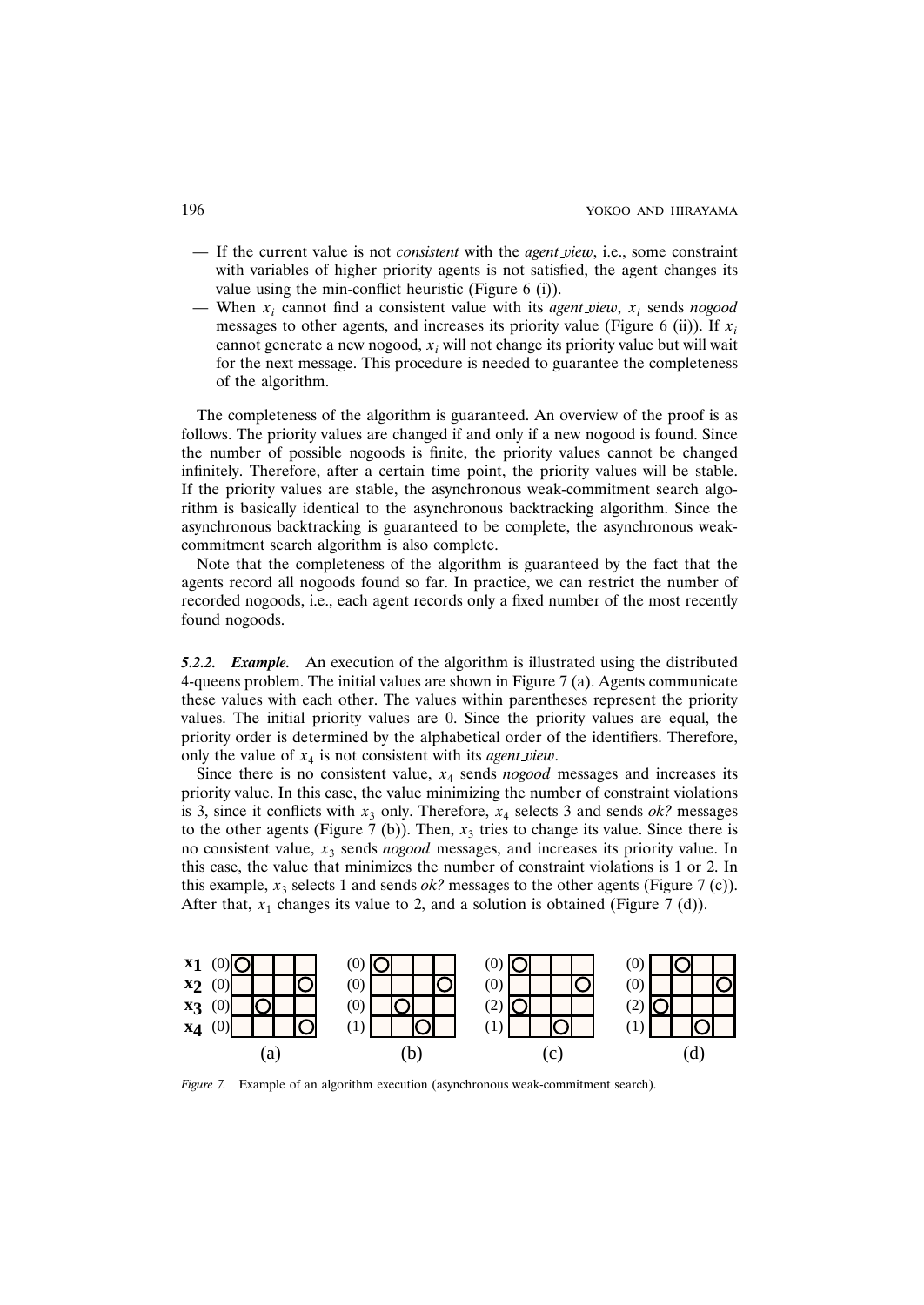- If the current value is not *consistent* with the *agent view*, i.e., some constraint with variables of higher priority agents is not satisfied, the agent changes its value using the min-conflict heuristic (Figure 6 (i)).
- When  $x_i$  cannot find a consistent value with its *agent view*,  $x_i$  sends *nogood* messages to other agents, and increases its priority value (Figure 6 (ii)). If  $x_i$ cannot generate a new nogood,  $x_i$  will not change its priority value but will wait for the next message. This procedure is needed to guarantee the completeness of the algorithm.

The completeness of the algorithm is guaranteed. An overview of the proof is as follows. The priority values are changed if and only if a new nogood is found. Since the number of possible nogoods is finite, the priority values cannot be changed infinitely. Therefore, after a certain time point, the priority values will be stable. If the priority values are stable, the asynchronous weak-commitment search algorithm is basically identical to the asynchronous backtracking algorithm. Since the asynchronous backtracking is guaranteed to be complete, the asynchronous weakcommitment search algorithm is also complete.

Note that the completeness of the algorithm is guaranteed by the fact that the agents record all nogoods found so far. In practice, we can restrict the number of recorded nogoods, i.e., each agent records only a fixed number of the most recently found nogoods.

5.2.2. Example. An execution of the algorithm is illustrated using the distributed 4-queens problem. The initial values are shown in Figure 7 (a). Agents communicate these values with each other. The values within parentheses represent the priority values. The initial priority values are 0. Since the priority values are equal, the priority order is determined by the alphabetical order of the identifiers. Therefore, only the value of  $x_4$  is not consistent with its *agent view*.

Since there is no consistent value,  $x_4$  sends *nogood* messages and increases its priority value. In this case, the value minimizing the number of constraint violations is 3, since it conflicts with  $x_3$  only. Therefore,  $x_4$  selects 3 and sends ok? messages to the other agents (Figure 7 (b)). Then,  $x_3$  tries to change its value. Since there is no consistent value,  $x_3$  sends *nogood* messages, and increases its priority value. In this case, the value that minimizes the number of constraint violations is 1 or 2. In this example,  $x_3$  selects 1 and sends  $ok$ ? messages to the other agents (Figure 7 (c)). After that,  $x_1$  changes its value to 2, and a solution is obtained (Figure 7 (d)).



Figure 7. Example of an algorithm execution (asynchronous weak-commitment search).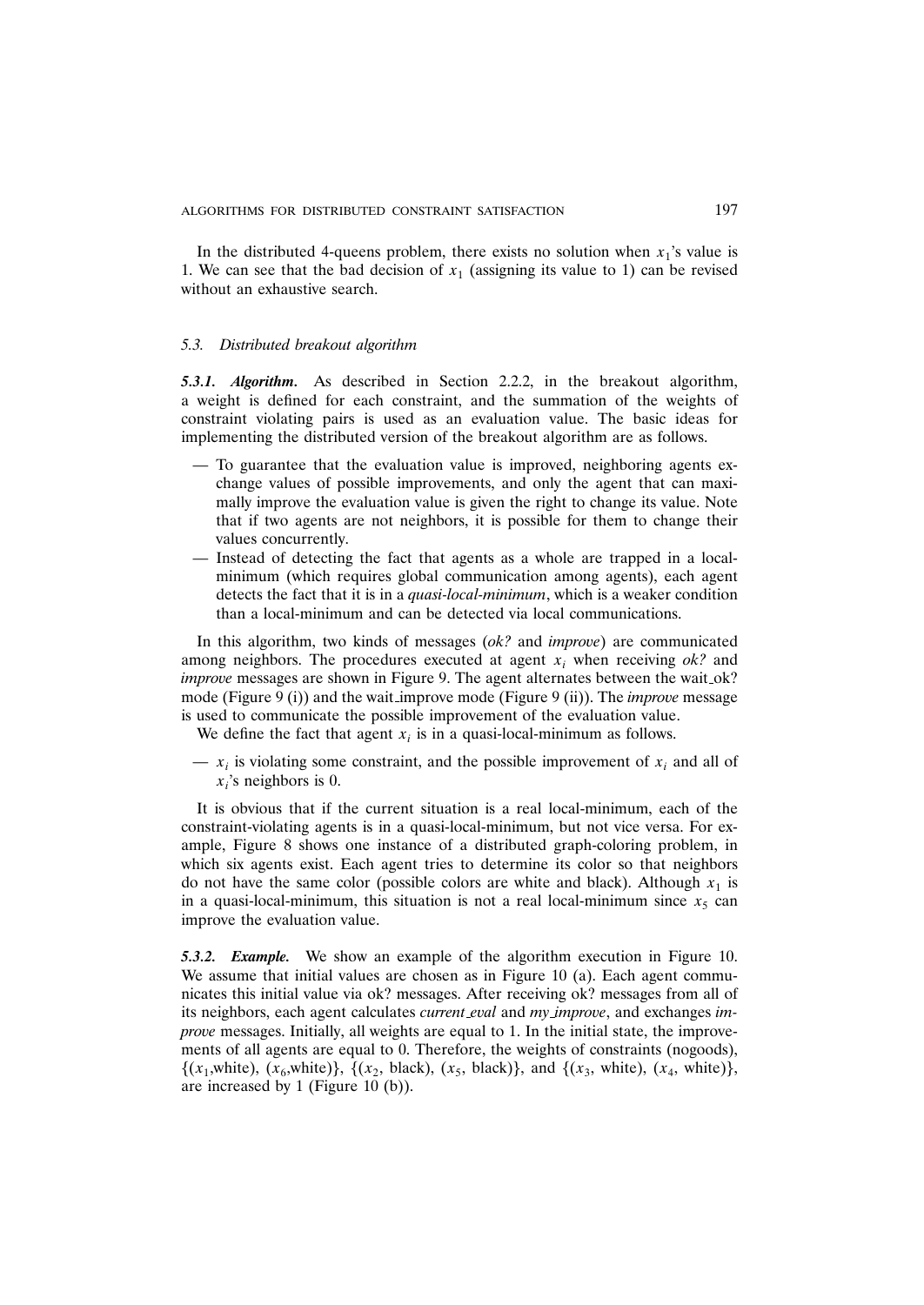In the distributed 4-queens problem, there exists no solution when  $x_1$ 's value is 1. We can see that the bad decision of  $x_1$  (assigning its value to 1) can be revised without an exhaustive search.

#### 5.3. Distributed breakout algorithm

5.3.1. Algorithm. As described in Section 2.2.2, in the breakout algorithm, a weight is defined for each constraint, and the summation of the weights of constraint violating pairs is used as an evaluation value. The basic ideas for implementing the distributed version of the breakout algorithm are as follows.

- To guarantee that the evaluation value is improved, neighboring agents exchange values of possible improvements, and only the agent that can maximally improve the evaluation value is given the right to change its value. Note that if two agents are not neighbors, it is possible for them to change their values concurrently.
- Instead of detecting the fact that agents as a whole are trapped in a localminimum (which requires global communication among agents), each agent detects the fact that it is in a quasi-local-minimum, which is a weaker condition than a local-minimum and can be detected via local communications.

In this algorithm, two kinds of messages (ok? and improve) are communicated among neighbors. The procedures executed at agent  $x_i$  when receiving ok? and improve messages are shown in Figure 9. The agent alternates between the wait\_ok? mode (Figure 9 (i)) and the wait improve mode (Figure 9 (ii)). The *improve* message is used to communicate the possible improvement of the evaluation value.

We define the fact that agent  $x_i$  is in a quasi-local-minimum as follows.

—  $x_i$  is violating some constraint, and the possible improvement of  $x_i$  and all of  $x_i$ 's neighbors is 0.

It is obvious that if the current situation is a real local-minimum, each of the constraint-violating agents is in a quasi-local-minimum, but not vice versa. For example, Figure 8 shows one instance of a distributed graph-coloring problem, in which six agents exist. Each agent tries to determine its color so that neighbors do not have the same color (possible colors are white and black). Although  $x_1$  is in a quasi-local-minimum, this situation is not a real local-minimum since  $x_5$  can improve the evaluation value.

5.3.2. Example. We show an example of the algorithm execution in Figure 10. We assume that initial values are chosen as in Figure 10 (a). Each agent communicates this initial value via ok? messages. After receiving ok? messages from all of its neighbors, each agent calculates *current eval* and my *improve*, and exchanges improve messages. Initially, all weights are equal to 1. In the initial state, the improvements of all agents are equal to 0. Therefore, the weights of constraints (nogoods),  $\{(x_1, \text{white}), (x_6, \text{white})\}, \{(x_2, \text{black}), (x_5, \text{black})\}, \text{and } \{(x_3, \text{white}), (x_4, \text{white})\},\$ are increased by 1 (Figure 10 (b)).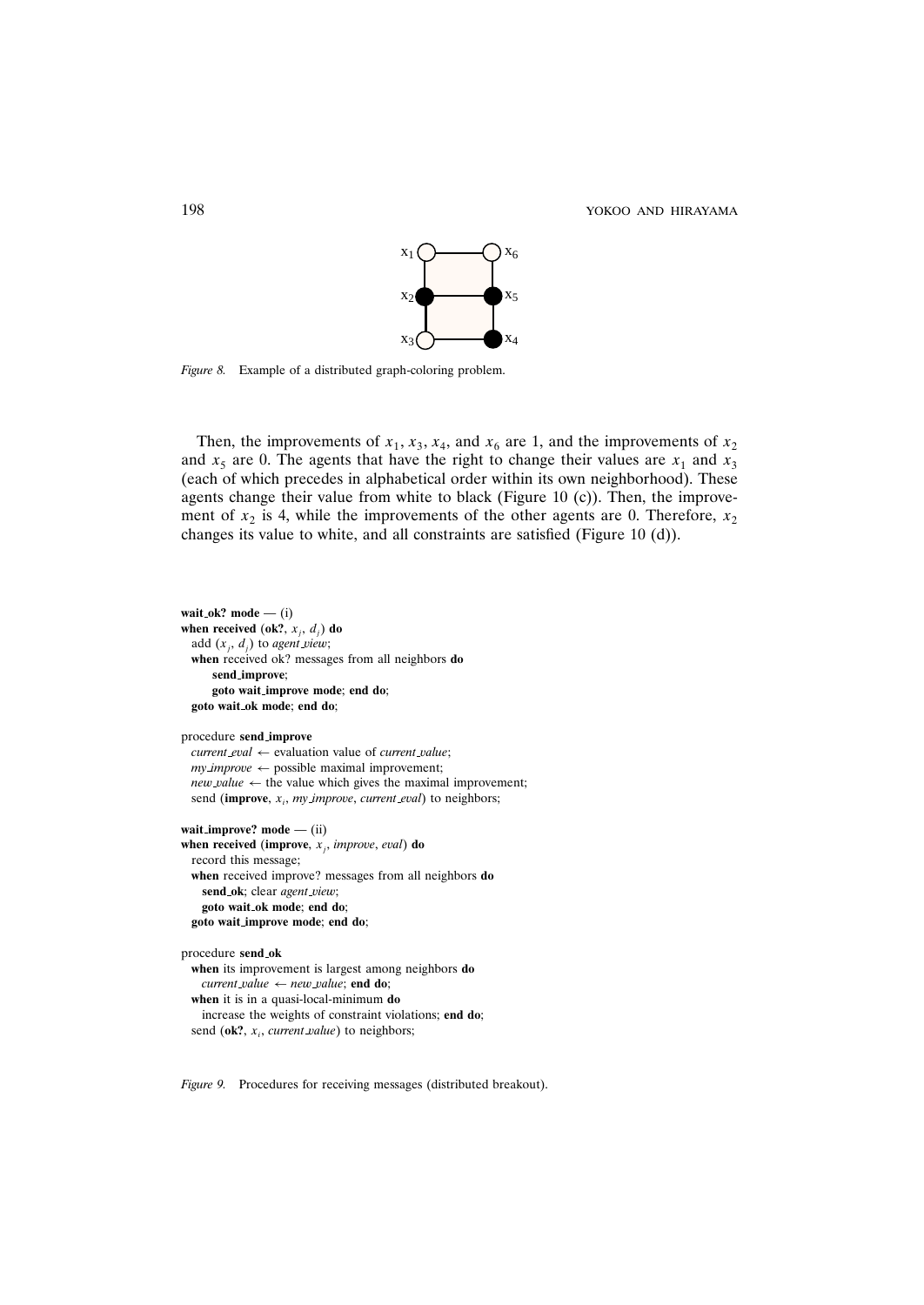

Figure 8. Example of a distributed graph-coloring problem.

Then, the improvements of  $x_1, x_3, x_4$ , and  $x_6$  are 1, and the improvements of  $x_2$ and  $x_5$  are 0. The agents that have the right to change their values are  $x_1$  and  $x_3$ (each of which precedes in alphabetical order within its own neighborhood). These agents change their value from white to black (Figure 10 (c)). Then, the improvement of  $x_2$  is 4, while the improvements of the other agents are 0. Therefore,  $x_2$ changes its value to white, and all constraints are satisfied (Figure 10 (d)).

```
wait_ok? mode — (i)
when received (ok?, x_i, d_i) do
  add (x_i, d_i) to agent view;
  when received ok? messages from all neighbors do
      send improve;
      goto wait improve mode; end do;
  goto wait_ok mode; end do;
procedure send improve
  current\_eval \leftarrow evaluation value of current_value;
  my\text{-}improve \leftarrow possible maximal improvement;
  new\_value \leftarrow the value which gives the maximal improvement;
  send (improve, x_i, my improve, current eval) to neighbors;
wait_improve? mode - (ii)
when received (improve, x_i, improve, eval) do
  record this message;
  when received improve? messages from all neighbors do
    send_ok; clear agent_view;
    goto wait ok mode; end do;
  goto wait improve mode; end do;
procedure send_ok
  when its improvement is largest among neighbors do
   current value \leftarrow new value; end do;
  when it is in a quasi-local-minimum do
    increase the weights of constraint violations; end do;
  send (ok?, x_i, current value) to neighbors;
```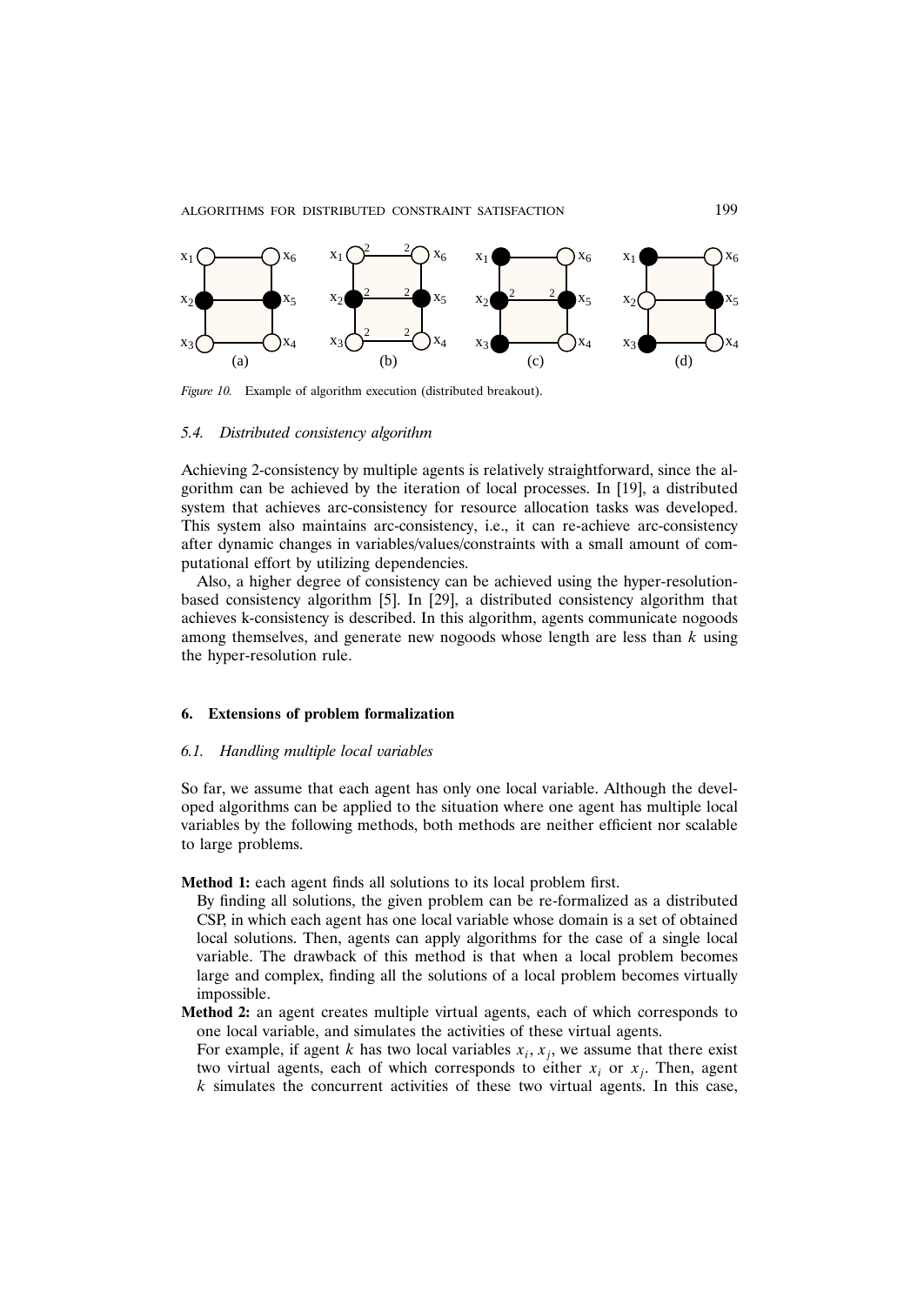

Figure 10. Example of algorithm execution (distributed breakout).

## 5.4. Distributed consistency algorithm

Achieving 2-consistency by multiple agents is relatively straightforward, since the algorithm can be achieved by the iteration of local processes. In [19], a distributed system that achieves arc-consistency for resource allocation tasks was developed. This system also maintains arc-consistency, i.e., it can re-achieve arc-consistency after dynamic changes in variables/values/constraints with a small amount of computational effort by utilizing dependencies.

Also, a higher degree of consistency can be achieved using the hyper-resolutionbased consistency algorithm [5]. In [29], a distributed consistency algorithm that achieves k-consistency is described. In this algorithm, agents communicate nogoods among themselves, and generate new nogoods whose length are less than  $k$  using the hyper-resolution rule.

#### 6. Extensions of problem formalization

## 6.1. Handling multiple local variables

So far, we assume that each agent has only one local variable. Although the developed algorithms can be applied to the situation where one agent has multiple local variables by the following methods, both methods are neither efficient nor scalable to large problems.

Method 1: each agent finds all solutions to its local problem first.

By finding all solutions, the given problem can be re-formalized as a distributed CSP, in which each agent has one local variable whose domain is a set of obtained local solutions. Then, agents can apply algorithms for the case of a single local variable. The drawback of this method is that when a local problem becomes large and complex, finding all the solutions of a local problem becomes virtually impossible.

Method 2: an agent creates multiple virtual agents, each of which corresponds to one local variable, and simulates the activities of these virtual agents.

For example, if agent k has two local variables  $x_i$ ,  $x_j$ , we assume that there exist two virtual agents, each of which corresponds to either  $x_i$  or  $x_j$ . Then, agent  $k$  simulates the concurrent activities of these two virtual agents. In this case,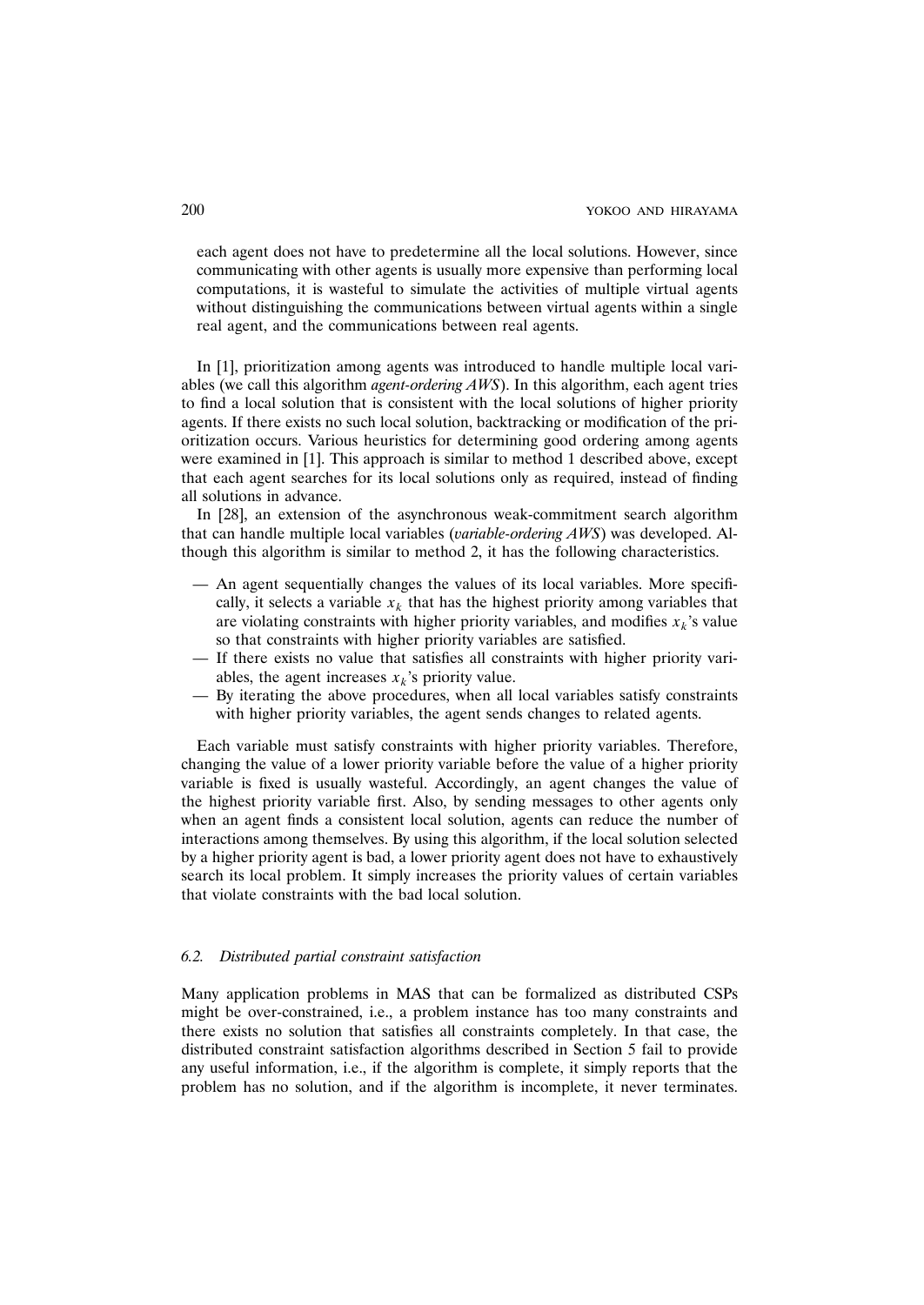each agent does not have to predetermine all the local solutions. However, since communicating with other agents is usually more expensive than performing local computations, it is wasteful to simulate the activities of multiple virtual agents without distinguishing the communications between virtual agents within a single real agent, and the communications between real agents.

In [1], prioritization among agents was introduced to handle multiple local variables (we call this algorithm *agent-ordering AWS*). In this algorithm, each agent tries to find a local solution that is consistent with the local solutions of higher priority agents. If there exists no such local solution, backtracking or modification of the prioritization occurs. Various heuristics for determining good ordering among agents were examined in [1]. This approach is similar to method 1 described above, except that each agent searches for its local solutions only as required, instead of finding all solutions in advance.

In [28], an extension of the asynchronous weak-commitment search algorithm that can handle multiple local variables (variable-ordering AWS) was developed. Although this algorithm is similar to method 2, it has the following characteristics.

- An agent sequentially changes the values of its local variables. More specifically, it selects a variable  $x_k$  that has the highest priority among variables that are violating constraints with higher priority variables, and modifies  $x_k$ 's value so that constraints with higher priority variables are satisfied.
- If there exists no value that satisfies all constraints with higher priority variables, the agent increases  $x_k$ 's priority value.
- By iterating the above procedures, when all local variables satisfy constraints with higher priority variables, the agent sends changes to related agents.

Each variable must satisfy constraints with higher priority variables. Therefore, changing the value of a lower priority variable before the value of a higher priority variable is fixed is usually wasteful. Accordingly, an agent changes the value of the highest priority variable first. Also, by sending messages to other agents only when an agent finds a consistent local solution, agents can reduce the number of interactions among themselves. By using this algorithm, if the local solution selected by a higher priority agent is bad, a lower priority agent does not have to exhaustively search its local problem. It simply increases the priority values of certain variables that violate constraints with the bad local solution.

## 6.2. Distributed partial constraint satisfaction

Many application problems in MAS that can be formalized as distributed CSPs might be over-constrained, i.e., a problem instance has too many constraints and there exists no solution that satisfies all constraints completely. In that case, the distributed constraint satisfaction algorithms described in Section 5 fail to provide any useful information, i.e., if the algorithm is complete, it simply reports that the problem has no solution, and if the algorithm is incomplete, it never terminates.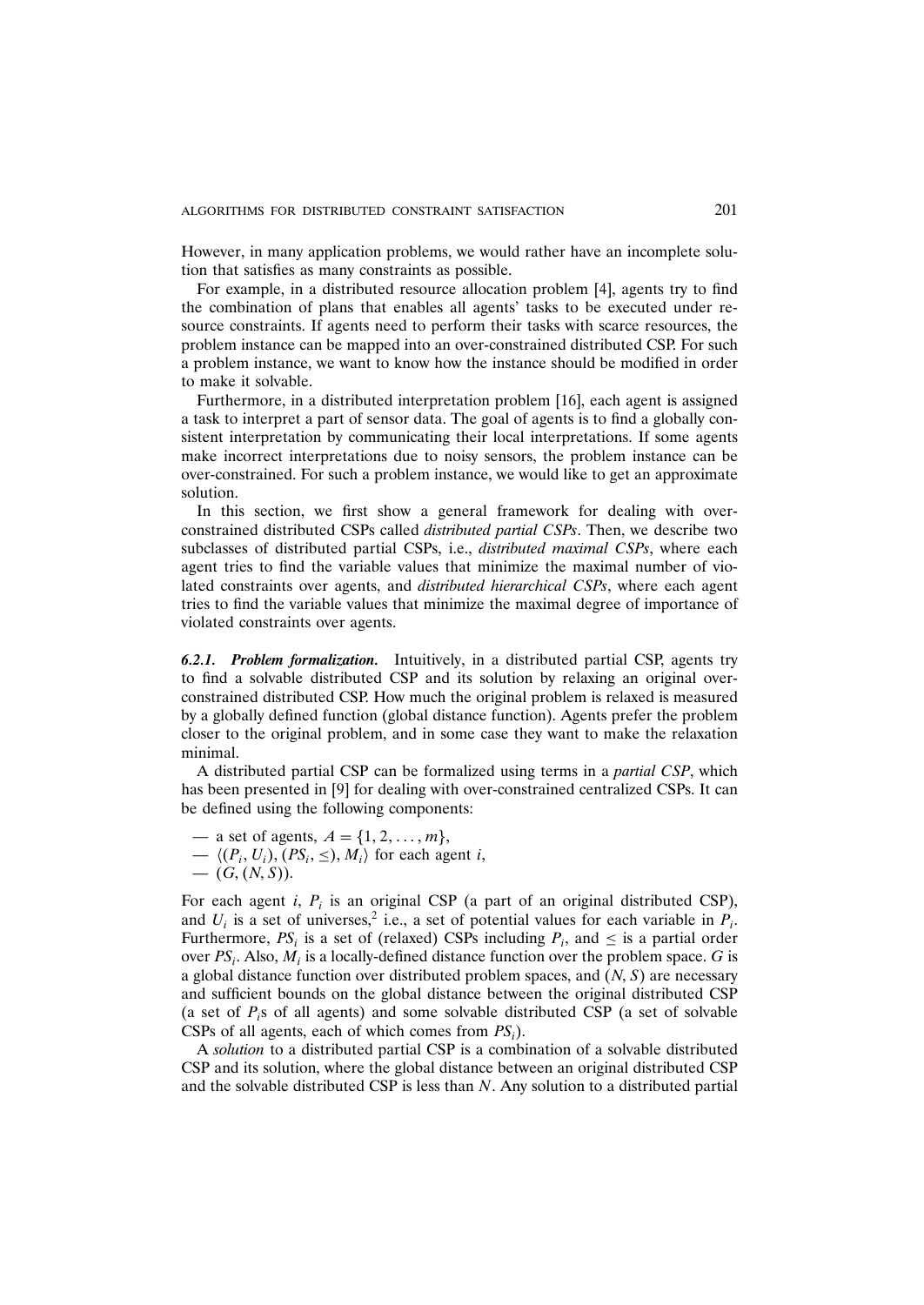However, in many application problems, we would rather have an incomplete solution that satisfies as many constraints as possible.

For example, in a distributed resource allocation problem [4], agents try to find the combination of plans that enables all agents' tasks to be executed under resource constraints. If agents need to perform their tasks with scarce resources, the problem instance can be mapped into an over-constrained distributed CSP. For such a problem instance, we want to know how the instance should be modified in order to make it solvable.

Furthermore, in a distributed interpretation problem [16], each agent is assigned a task to interpret a part of sensor data. The goal of agents is to find a globally consistent interpretation by communicating their local interpretations. If some agents make incorrect interpretations due to noisy sensors, the problem instance can be over-constrained. For such a problem instance, we would like to get an approximate solution.

In this section, we first show a general framework for dealing with overconstrained distributed CSPs called distributed partial CSPs. Then, we describe two subclasses of distributed partial CSPs, i.e., distributed maximal CSPs, where each agent tries to find the variable values that minimize the maximal number of violated constraints over agents, and distributed hierarchical CSPs, where each agent tries to find the variable values that minimize the maximal degree of importance of violated constraints over agents.

6.2.1. Problem formalization. Intuitively, in a distributed partial CSP, agents try to find a solvable distributed CSP and its solution by relaxing an original overconstrained distributed CSP. How much the original problem is relaxed is measured by a globally defined function (global distance function). Agents prefer the problem closer to the original problem, and in some case they want to make the relaxation minimal.

A distributed partial CSP can be formalized using terms in a partial CSP, which has been presented in [9] for dealing with over-constrained centralized CSPs. It can be defined using the following components:

— a set of agents,  $A = \{1, 2, \ldots, m\},\$ —  $\langle (P_i, U_i), (PS_i, \leq), M_i \rangle$  for each agent i,  $(G, (N, S)).$ 

For each agent i,  $P_i$  is an original CSP (a part of an original distributed CSP), and  $U_i$  is a set of universes,<sup>2</sup> i.e., a set of potential values for each variable in  $P_i$ . Furthermore,  $PS_i$  is a set of (relaxed) CSPs including  $P_i$ , and  $\leq$  is a partial order over  $PS_i$ . Also,  $M_i$  is a locally-defined distance function over the problem space. G is a global distance function over distributed problem spaces, and  $(N, S)$  are necessary and sufficient bounds on the global distance between the original distributed CSP (a set of  $P_i$ s of all agents) and some solvable distributed CSP (a set of solvable CSPs of all agents, each of which comes from  $PS_i$ ).

A solution to a distributed partial CSP is a combination of a solvable distributed CSP and its solution, where the global distance between an original distributed CSP and the solvable distributed CSP is less than N. Any solution to a distributed partial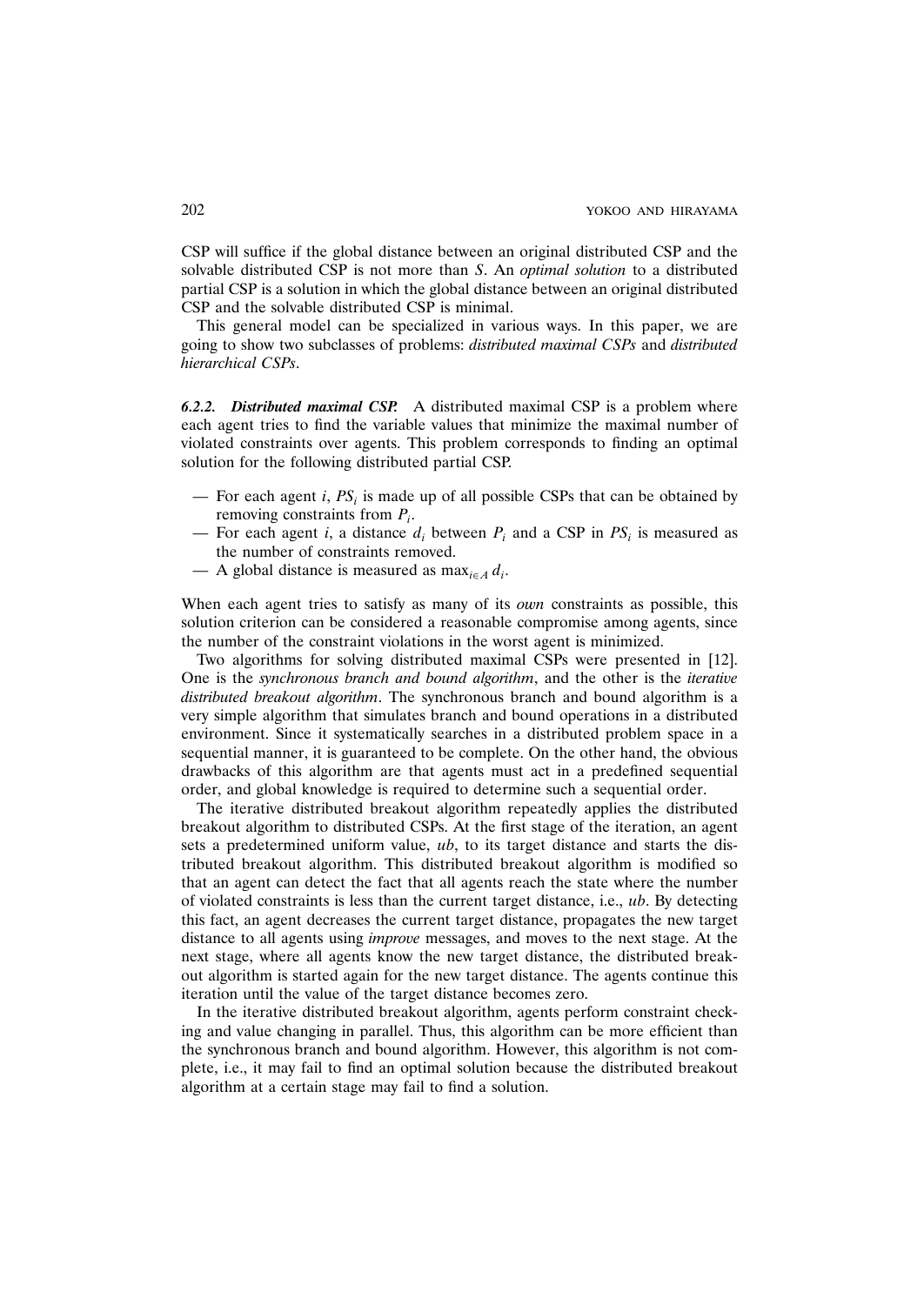CSP will suffice if the global distance between an original distributed CSP and the solvable distributed CSP is not more than S. An *optimal solution* to a distributed partial CSP is a solution in which the global distance between an original distributed CSP and the solvable distributed CSP is minimal.

This general model can be specialized in various ways. In this paper, we are going to show two subclasses of problems: distributed maximal CSPs and distributed hierarchical CSPs.

6.2.2. Distributed maximal CSP. A distributed maximal CSP is a problem where each agent tries to find the variable values that minimize the maximal number of violated constraints over agents. This problem corresponds to finding an optimal solution for the following distributed partial CSP.

- For each agent i,  $PS_i$  is made up of all possible CSPs that can be obtained by removing constraints from  $P_i$ .
- For each agent i, a distance  $d_i$  between  $P_i$  and a CSP in  $PS_i$  is measured as the number of constraints removed.
- A global distance is measured as  $\max_{i \in A} d_i$ .

When each agent tries to satisfy as many of its *own* constraints as possible, this solution criterion can be considered a reasonable compromise among agents, since the number of the constraint violations in the worst agent is minimized.

Two algorithms for solving distributed maximal CSPs were presented in [12]. One is the synchronous branch and bound algorithm, and the other is the iterative distributed breakout algorithm. The synchronous branch and bound algorithm is a very simple algorithm that simulates branch and bound operations in a distributed environment. Since it systematically searches in a distributed problem space in a sequential manner, it is guaranteed to be complete. On the other hand, the obvious drawbacks of this algorithm are that agents must act in a predefined sequential order, and global knowledge is required to determine such a sequential order.

The iterative distributed breakout algorithm repeatedly applies the distributed breakout algorithm to distributed CSPs. At the first stage of the iteration, an agent sets a predetermined uniform value,  $ub$ , to its target distance and starts the distributed breakout algorithm. This distributed breakout algorithm is modified so that an agent can detect the fact that all agents reach the state where the number of violated constraints is less than the current target distance, i.e., ub. By detecting this fact, an agent decreases the current target distance, propagates the new target distance to all agents using improve messages, and moves to the next stage. At the next stage, where all agents know the new target distance, the distributed breakout algorithm is started again for the new target distance. The agents continue this iteration until the value of the target distance becomes zero.

In the iterative distributed breakout algorithm, agents perform constraint checking and value changing in parallel. Thus, this algorithm can be more efficient than the synchronous branch and bound algorithm. However, this algorithm is not complete, i.e., it may fail to find an optimal solution because the distributed breakout algorithm at a certain stage may fail to find a solution.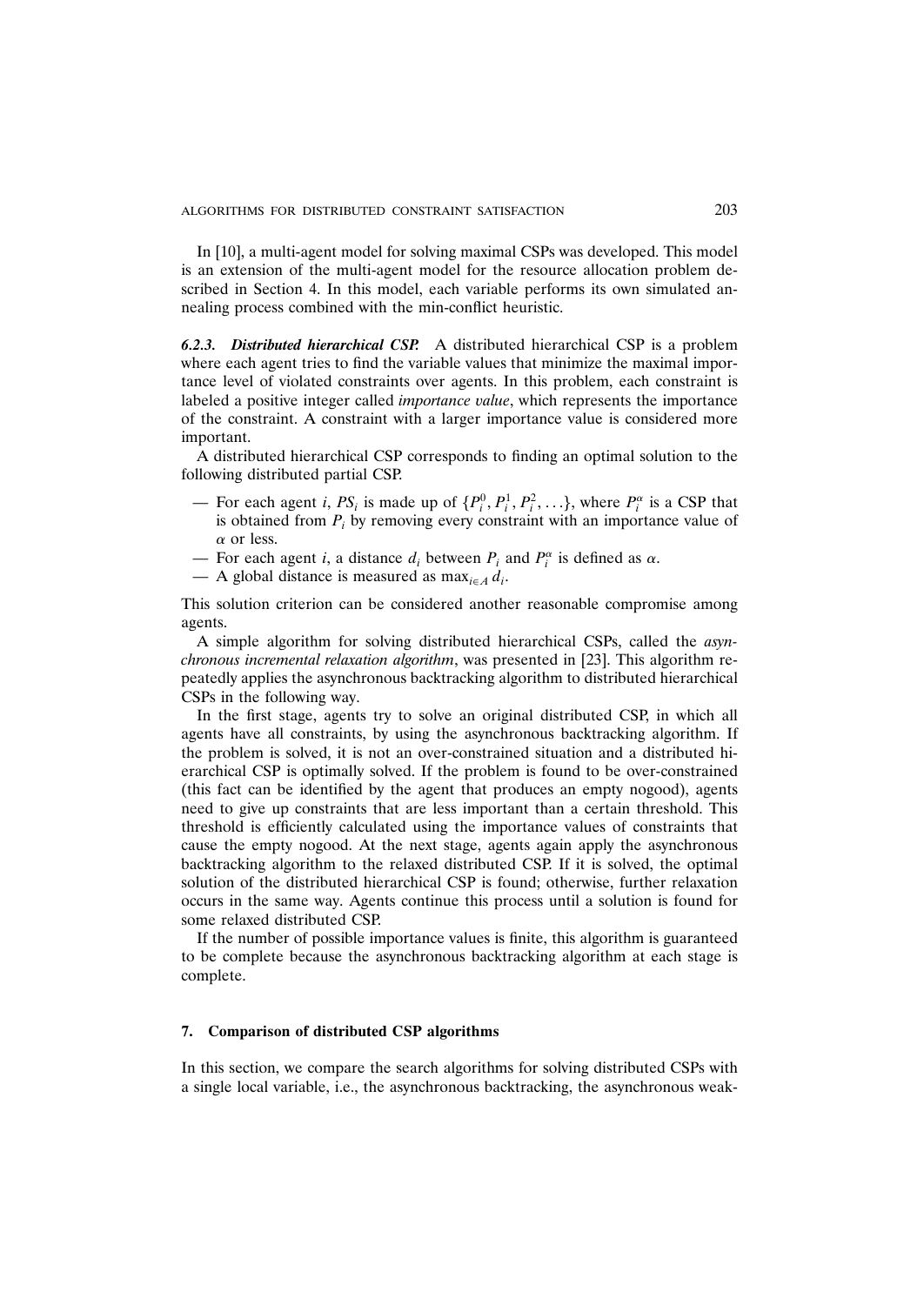In [10], a multi-agent model for solving maximal CSPs was developed. This model is an extension of the multi-agent model for the resource allocation problem described in Section 4. In this model, each variable performs its own simulated annealing process combined with the min-conflict heuristic.

6.2.3. Distributed hierarchical CSP. A distributed hierarchical CSP is a problem where each agent tries to find the variable values that minimize the maximal importance level of violated constraints over agents. In this problem, each constraint is labeled a positive integer called *importance value*, which represents the importance of the constraint. A constraint with a larger importance value is considered more important.

A distributed hierarchical CSP corresponds to finding an optimal solution to the following distributed partial CSP.

- For each agent *i*,  $PS_i$  is made up of  $\{P_i^0, P_i^1, P_i^2, \ldots\}$ , where  $P_i^{\alpha}$  is a CSP that is obtained from  $P_i$  by removing every constraint with an importance value of  $\alpha$  or less.
- For each agent *i*, a distance  $d_i$  between  $P_i$  and  $P_i^{\alpha}$  is defined as  $\alpha$ .
- A global distance is measured as  $\max_{i \in A} d_i$ .

This solution criterion can be considered another reasonable compromise among agents.

A simple algorithm for solving distributed hierarchical CSPs, called the asynchronous incremental relaxation algorithm, was presented in [23]. This algorithm repeatedly applies the asynchronous backtracking algorithm to distributed hierarchical CSPs in the following way.

In the first stage, agents try to solve an original distributed CSP, in which all agents have all constraints, by using the asynchronous backtracking algorithm. If the problem is solved, it is not an over-constrained situation and a distributed hierarchical CSP is optimally solved. If the problem is found to be over-constrained (this fact can be identified by the agent that produces an empty nogood), agents need to give up constraints that are less important than a certain threshold. This threshold is efficiently calculated using the importance values of constraints that cause the empty nogood. At the next stage, agents again apply the asynchronous backtracking algorithm to the relaxed distributed CSP. If it is solved, the optimal solution of the distributed hierarchical CSP is found; otherwise, further relaxation occurs in the same way. Agents continue this process until a solution is found for some relaxed distributed CSP.

If the number of possible importance values is finite, this algorithm is guaranteed to be complete because the asynchronous backtracking algorithm at each stage is complete.

#### 7. Comparison of distributed CSP algorithms

In this section, we compare the search algorithms for solving distributed CSPs with a single local variable, i.e., the asynchronous backtracking, the asynchronous weak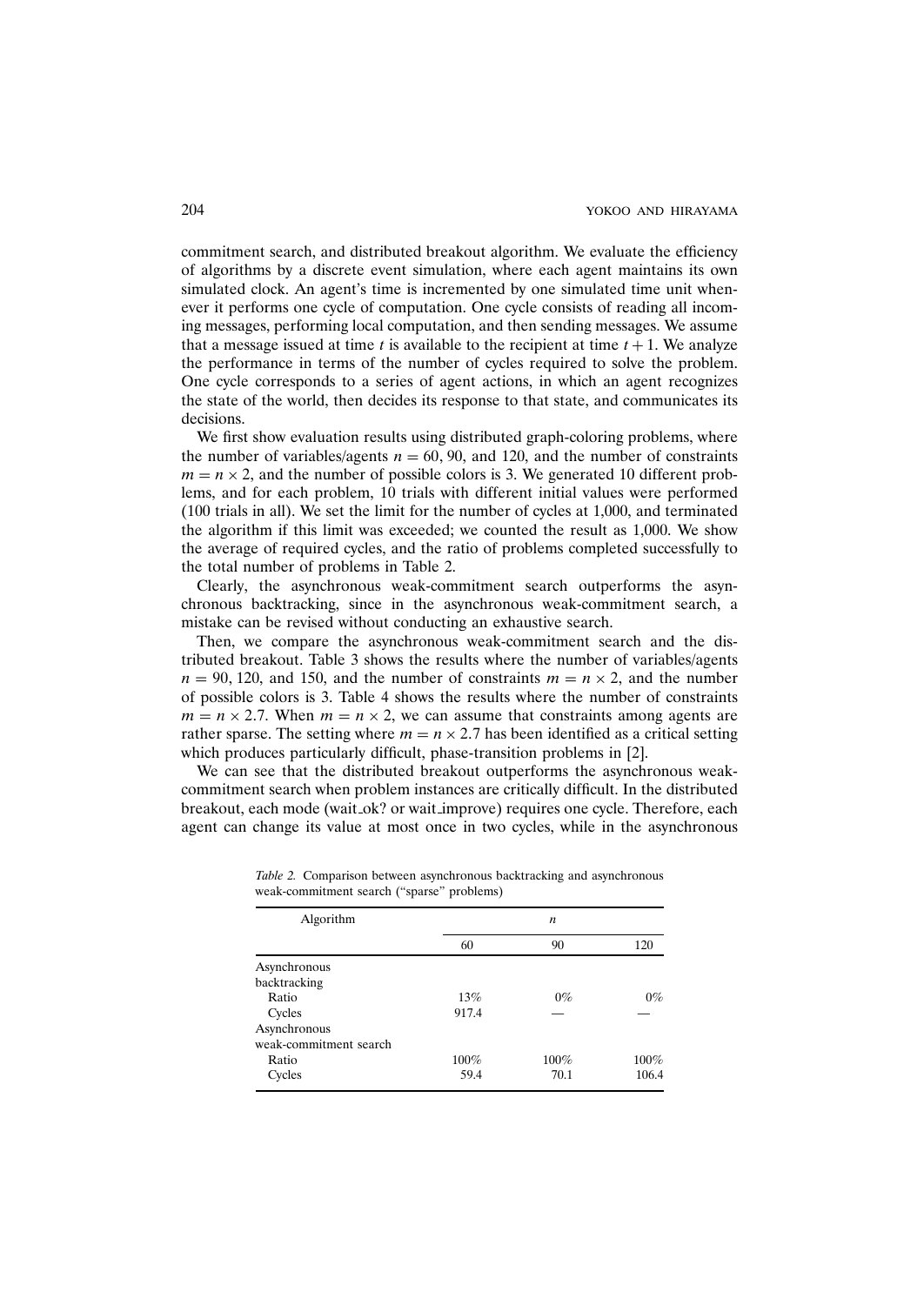commitment search, and distributed breakout algorithm. We evaluate the efficiency of algorithms by a discrete event simulation, where each agent maintains its own simulated clock. An agent's time is incremented by one simulated time unit whenever it performs one cycle of computation. One cycle consists of reading all incoming messages, performing local computation, and then sending messages. We assume that a message issued at time t is available to the recipient at time  $t + 1$ . We analyze the performance in terms of the number of cycles required to solve the problem. One cycle corresponds to a series of agent actions, in which an agent recognizes the state of the world, then decides its response to that state, and communicates its decisions.

We first show evaluation results using distributed graph-coloring problems, where the number of variables/agents  $n = 60, 90$ , and 120, and the number of constraints  $m = n \times 2$ , and the number of possible colors is 3. We generated 10 different problems, and for each problem, 10 trials with different initial values were performed (100 trials in all). We set the limit for the number of cycles at 1,000, and terminated the algorithm if this limit was exceeded; we counted the result as 1,000. We show the average of required cycles, and the ratio of problems completed successfully to the total number of problems in Table 2.

Clearly, the asynchronous weak-commitment search outperforms the asynchronous backtracking, since in the asynchronous weak-commitment search, a mistake can be revised without conducting an exhaustive search.

Then, we compare the asynchronous weak-commitment search and the distributed breakout. Table 3 shows the results where the number of variables/agents  $n = 90, 120,$  and 150, and the number of constraints  $m = n \times 2$ , and the number of possible colors is 3. Table 4 shows the results where the number of constraints  $m = n \times 2.7$ . When  $m = n \times 2$ , we can assume that constraints among agents are rather sparse. The setting where  $m = n \times 2.7$  has been identified as a critical setting which produces particularly difficult, phase-transition problems in [2].

We can see that the distributed breakout outperforms the asynchronous weakcommitment search when problem instances are critically difficult. In the distributed breakout, each mode (wait\_ok? or wait\_improve) requires one cycle. Therefore, each agent can change its value at most once in two cycles, while in the asynchronous

| Algorithm              | n     |         |       |
|------------------------|-------|---------|-------|
|                        | 60    | 90      | 120   |
| Asynchronous           |       |         |       |
| backtracking           |       |         |       |
| Ratio                  | 13%   | $0\%$   | $0\%$ |
| Cycles                 | 917.4 |         |       |
| Asynchronous           |       |         |       |
| weak-commitment search |       |         |       |
| Ratio                  | 100%  | $100\%$ | 100%  |
| Cycles                 | 59.4  | 70.1    | 106.4 |

Table 2. Comparison between asynchronous backtracking and asynchronous weak-commitment search ("sparse" problems)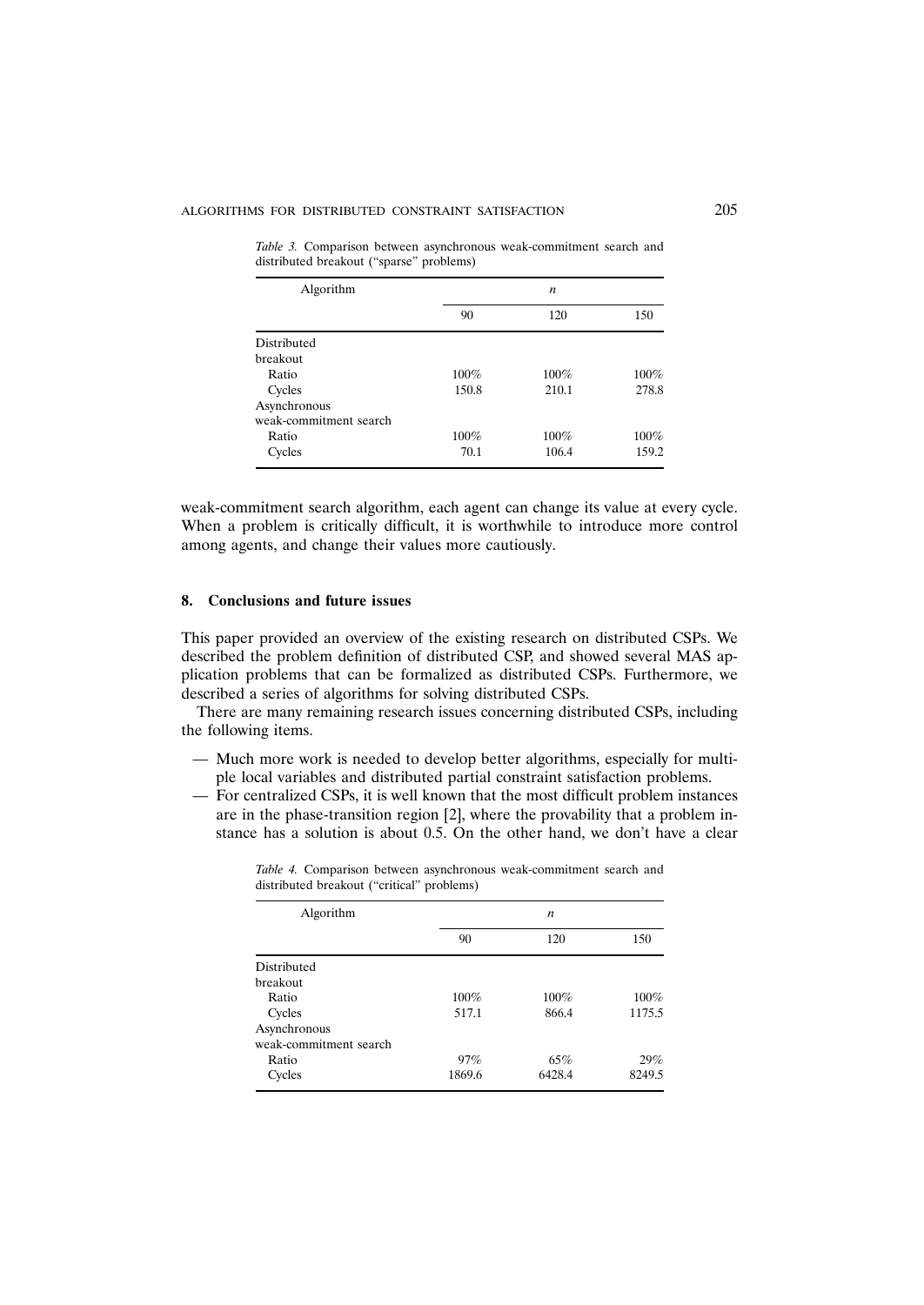| Algorithm              | n       |         |         |
|------------------------|---------|---------|---------|
|                        | 90      | 120     | 150     |
| Distributed            |         |         |         |
| breakout               |         |         |         |
| Ratio                  | $100\%$ | $100\%$ | $100\%$ |
| Cycles                 | 150.8   | 210.1   | 278.8   |
| Asynchronous           |         |         |         |
| weak-commitment search |         |         |         |
| Ratio                  | $100\%$ | $100\%$ | $100\%$ |
| Cycles                 | 70.1    | 106.4   | 159.2   |

Table 3. Comparison between asynchronous weak-commitment search and distributed breakout ("sparse" problems)

weak-commitment search algorithm, each agent can change its value at every cycle. When a problem is critically difficult, it is worthwhile to introduce more control among agents, and change their values more cautiously.

## 8. Conclusions and future issues

This paper provided an overview of the existing research on distributed CSPs. We described the problem definition of distributed CSP, and showed several MAS application problems that can be formalized as distributed CSPs. Furthermore, we described a series of algorithms for solving distributed CSPs.

There are many remaining research issues concerning distributed CSPs, including the following items.

- Much more work is needed to develop better algorithms, especially for multiple local variables and distributed partial constraint satisfaction problems.
- For centralized CSPs, it is well known that the most difficult problem instances are in the phase-transition region [2], where the provability that a problem instance has a solution is about 0.5. On the other hand, we don't have a clear

| Algorithm              | n      |         |        |
|------------------------|--------|---------|--------|
|                        | 90     | 120     | 150    |
| Distributed            |        |         |        |
| breakout               |        |         |        |
| Ratio                  | 100%   | $100\%$ | 100%   |
| Cycles                 | 517.1  | 866.4   | 1175.5 |
| Asynchronous           |        |         |        |
| weak-commitment search |        |         |        |
| Ratio                  | 97%    | 65%     | 29%    |
| Cycles                 | 1869.6 | 6428.4  | 8249.5 |

Table 4. Comparison between asynchronous weak-commitment search and distributed breakout ("critical" problems)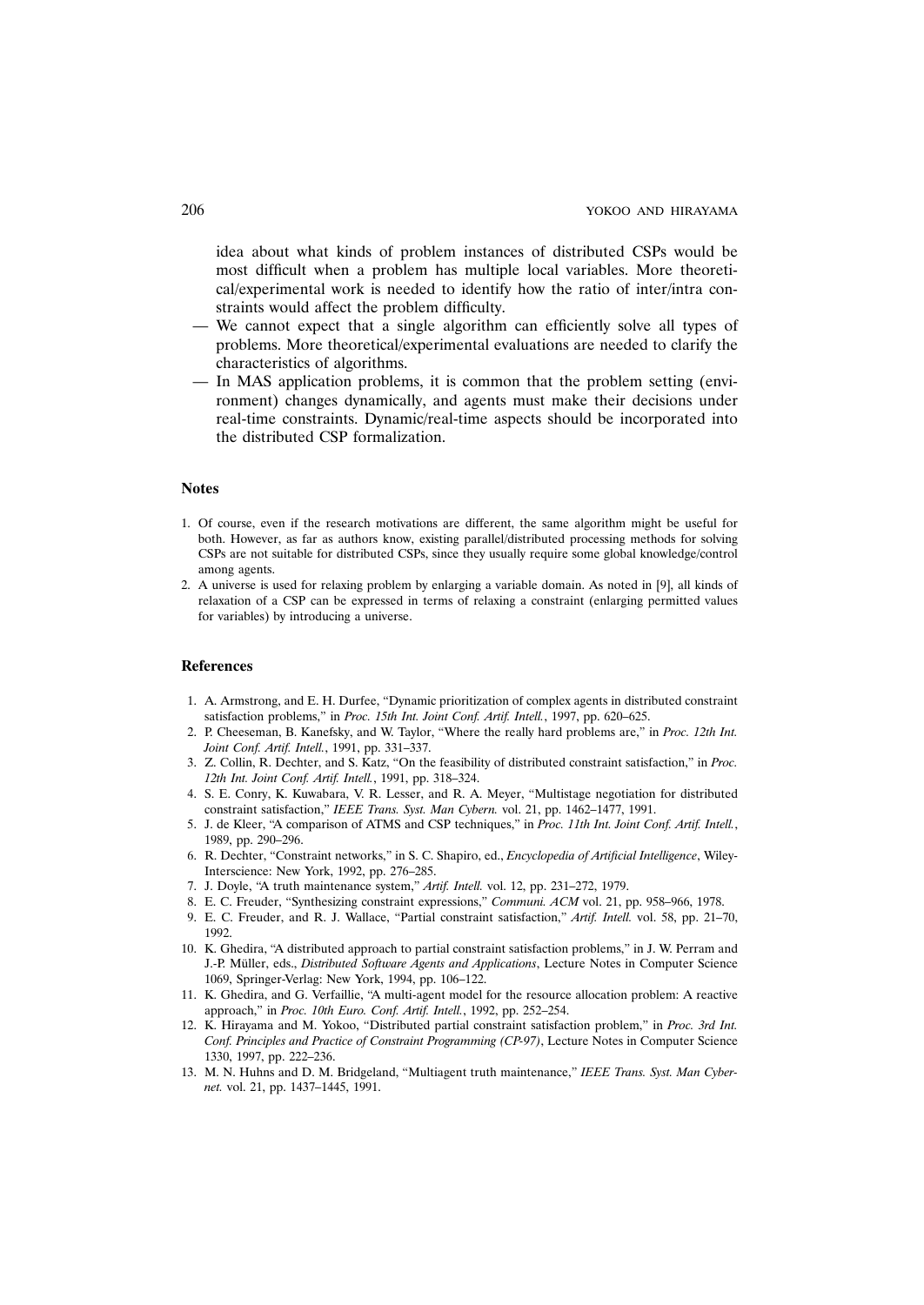idea about what kinds of problem instances of distributed CSPs would be most difficult when a problem has multiple local variables. More theoretical/experimental work is needed to identify how the ratio of inter/intra constraints would affect the problem difficulty.

- We cannot expect that a single algorithm can efficiently solve all types of problems. More theoretical/experimental evaluations are needed to clarify the characteristics of algorithms.
- In MAS application problems, it is common that the problem setting (environment) changes dynamically, and agents must make their decisions under real-time constraints. Dynamic/real-time aspects should be incorporated into the distributed CSP formalization.

#### **Notes**

- 1. Of course, even if the research motivations are different, the same algorithm might be useful for both. However, as far as authors know, existing parallel/distributed processing methods for solving CSPs are not suitable for distributed CSPs, since they usually require some global knowledge/control among agents.
- 2. A universe is used for relaxing problem by enlarging a variable domain. As noted in [9], all kinds of relaxation of a CSP can be expressed in terms of relaxing a constraint (enlarging permitted values for variables) by introducing a universe.

## References

- 1. A. Armstrong, and E. H. Durfee, "Dynamic prioritization of complex agents in distributed constraint satisfaction problems," in Proc. 15th Int. Joint Conf. Artif. Intell., 1997, pp. 620–625.
- 2. P. Cheeseman, B. Kanefsky, and W. Taylor, "Where the really hard problems are," in Proc. 12th Int. Joint Conf. Artif. Intell., 1991, pp. 331–337.
- 3. Z. Collin, R. Dechter, and S. Katz, "On the feasibility of distributed constraint satisfaction," in Proc. 12th Int. Joint Conf. Artif. Intell., 1991, pp. 318–324.
- 4. S. E. Conry, K. Kuwabara, V. R. Lesser, and R. A. Meyer, "Multistage negotiation for distributed constraint satisfaction," IEEE Trans. Syst. Man Cybern. vol. 21, pp. 1462–1477, 1991.
- 5. J. de Kleer, "A comparison of ATMS and CSP techniques," in Proc. 11th Int. Joint Conf. Artif. Intell., 1989, pp. 290–296.
- 6. R. Dechter, "Constraint networks," in S. C. Shapiro, ed., Encyclopedia of Artificial Intelligence, Wiley-Interscience: New York, 1992, pp. 276–285.
- 7. J. Doyle, "A truth maintenance system," Artif. Intell. vol. 12, pp. 231–272, 1979.
- 8. E. C. Freuder, "Synthesizing constraint expressions," Communi. ACM vol. 21, pp. 958–966, 1978.
- 9. E. C. Freuder, and R. J. Wallace, "Partial constraint satisfaction," Artif. Intell. vol. 58, pp. 21–70, 1992.
- 10. K. Ghedira, "A distributed approach to partial constraint satisfaction problems," in J. W. Perram and J.-P. Müller, eds., *Distributed Software Agents and Applications*, Lecture Notes in Computer Science 1069, Springer-Verlag: New York, 1994, pp. 106–122.
- 11. K. Ghedira, and G. Verfaillie, "A multi-agent model for the resource allocation problem: A reactive approach," in Proc. 10th Euro. Conf. Artif. Intell., 1992, pp. 252–254.
- 12. K. Hirayama and M. Yokoo, "Distributed partial constraint satisfaction problem," in Proc. 3rd Int. Conf. Principles and Practice of Constraint Programming (CP-97), Lecture Notes in Computer Science 1330, 1997, pp. 222–236.
- 13. M. N. Huhns and D. M. Bridgeland, "Multiagent truth maintenance," IEEE Trans. Syst. Man Cybernet. vol. 21, pp. 1437–1445, 1991.